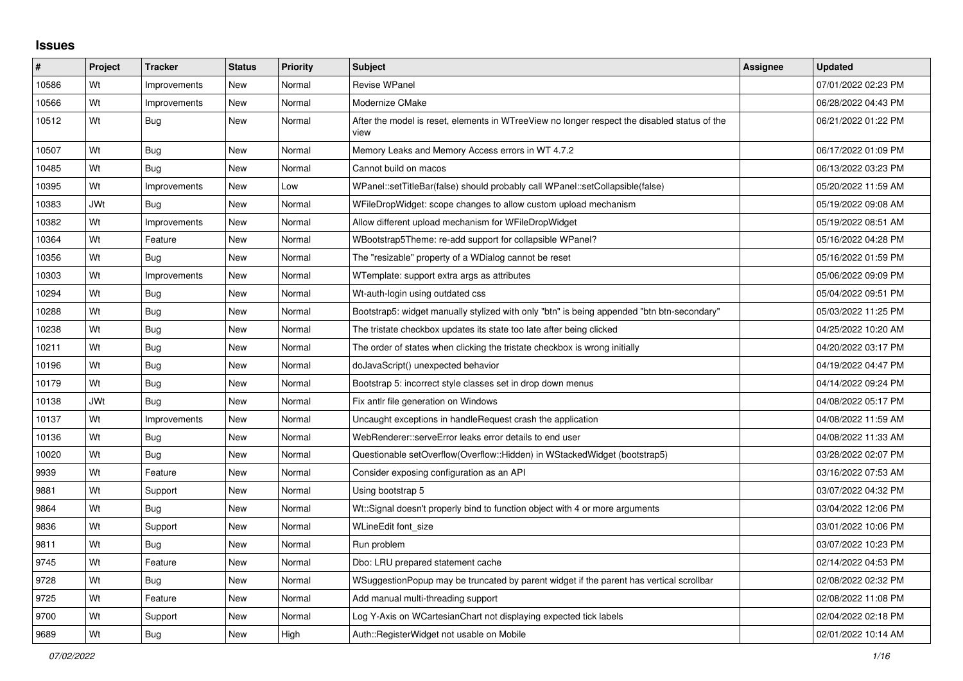## **Issues**

| $\vert$ # | Project    | <b>Tracker</b> | <b>Status</b> | Priority | <b>Subject</b>                                                                                       | Assignee | <b>Updated</b>      |
|-----------|------------|----------------|---------------|----------|------------------------------------------------------------------------------------------------------|----------|---------------------|
| 10586     | Wt         | Improvements   | New           | Normal   | Revise WPanel                                                                                        |          | 07/01/2022 02:23 PM |
| 10566     | Wt         | Improvements   | New           | Normal   | Modernize CMake                                                                                      |          | 06/28/2022 04:43 PM |
| 10512     | Wt         | <b>Bug</b>     | New           | Normal   | After the model is reset, elements in WTreeView no longer respect the disabled status of the<br>view |          | 06/21/2022 01:22 PM |
| 10507     | Wt         | <b>Bug</b>     | New           | Normal   | Memory Leaks and Memory Access errors in WT 4.7.2                                                    |          | 06/17/2022 01:09 PM |
| 10485     | Wt         | Bug            | <b>New</b>    | Normal   | Cannot build on macos                                                                                |          | 06/13/2022 03:23 PM |
| 10395     | Wt         | Improvements   | New           | Low      | WPanel::setTitleBar(false) should probably call WPanel::setCollapsible(false)                        |          | 05/20/2022 11:59 AM |
| 10383     | <b>JWt</b> | Bug            | New           | Normal   | WFileDropWidget: scope changes to allow custom upload mechanism                                      |          | 05/19/2022 09:08 AM |
| 10382     | Wt         | Improvements   | New           | Normal   | Allow different upload mechanism for WFileDropWidget                                                 |          | 05/19/2022 08:51 AM |
| 10364     | Wt         | Feature        | New           | Normal   | WBootstrap5Theme: re-add support for collapsible WPanel?                                             |          | 05/16/2022 04:28 PM |
| 10356     | Wt         | Bug            | <b>New</b>    | Normal   | The "resizable" property of a WDialog cannot be reset                                                |          | 05/16/2022 01:59 PM |
| 10303     | Wt         | Improvements   | <b>New</b>    | Normal   | WTemplate: support extra args as attributes                                                          |          | 05/06/2022 09:09 PM |
| 10294     | Wt         | Bug            | New           | Normal   | Wt-auth-login using outdated css                                                                     |          | 05/04/2022 09:51 PM |
| 10288     | Wt         | Bug            | New           | Normal   | Bootstrap5: widget manually stylized with only "btn" is being appended "btn btn-secondary"           |          | 05/03/2022 11:25 PM |
| 10238     | Wt         | Bug            | New           | Normal   | The tristate checkbox updates its state too late after being clicked                                 |          | 04/25/2022 10:20 AM |
| 10211     | Wt         | Bug            | New           | Normal   | The order of states when clicking the tristate checkbox is wrong initially                           |          | 04/20/2022 03:17 PM |
| 10196     | Wt         | Bug            | New           | Normal   | doJavaScript() unexpected behavior                                                                   |          | 04/19/2022 04:47 PM |
| 10179     | Wt         | Bug            | New           | Normal   | Bootstrap 5: incorrect style classes set in drop down menus                                          |          | 04/14/2022 09:24 PM |
| 10138     | <b>JWt</b> | Bug            | New           | Normal   | Fix antlr file generation on Windows                                                                 |          | 04/08/2022 05:17 PM |
| 10137     | Wt         | Improvements   | New           | Normal   | Uncaught exceptions in handle Request crash the application                                          |          | 04/08/2022 11:59 AM |
| 10136     | Wt         | Bug            | New           | Normal   | WebRenderer::serveError leaks error details to end user                                              |          | 04/08/2022 11:33 AM |
| 10020     | Wt         | Bug            | <b>New</b>    | Normal   | Questionable setOverflow(Overflow::Hidden) in WStackedWidget (bootstrap5)                            |          | 03/28/2022 02:07 PM |
| 9939      | Wt         | Feature        | New           | Normal   | Consider exposing configuration as an API                                                            |          | 03/16/2022 07:53 AM |
| 9881      | Wt         | Support        | New           | Normal   | Using bootstrap 5                                                                                    |          | 03/07/2022 04:32 PM |
| 9864      | Wt         | <b>Bug</b>     | New           | Normal   | Wt::Signal doesn't properly bind to function object with 4 or more arguments                         |          | 03/04/2022 12:06 PM |
| 9836      | Wt         | Support        | New           | Normal   | WLineEdit font_size                                                                                  |          | 03/01/2022 10:06 PM |
| 9811      | Wt         | <b>Bug</b>     | New           | Normal   | Run problem                                                                                          |          | 03/07/2022 10:23 PM |
| 9745      | Wt         | Feature        | New           | Normal   | Dbo: LRU prepared statement cache                                                                    |          | 02/14/2022 04:53 PM |
| 9728      | Wt         | Bug            | New           | Normal   | WSuggestionPopup may be truncated by parent widget if the parent has vertical scrollbar              |          | 02/08/2022 02:32 PM |
| 9725      | Wt         | Feature        | New           | Normal   | Add manual multi-threading support                                                                   |          | 02/08/2022 11:08 PM |
| 9700      | Wt         | Support        | New           | Normal   | Log Y-Axis on WCartesianChart not displaying expected tick labels                                    |          | 02/04/2022 02:18 PM |
| 9689      | Wt         | Bug            | New           | High     | Auth::RegisterWidget not usable on Mobile                                                            |          | 02/01/2022 10:14 AM |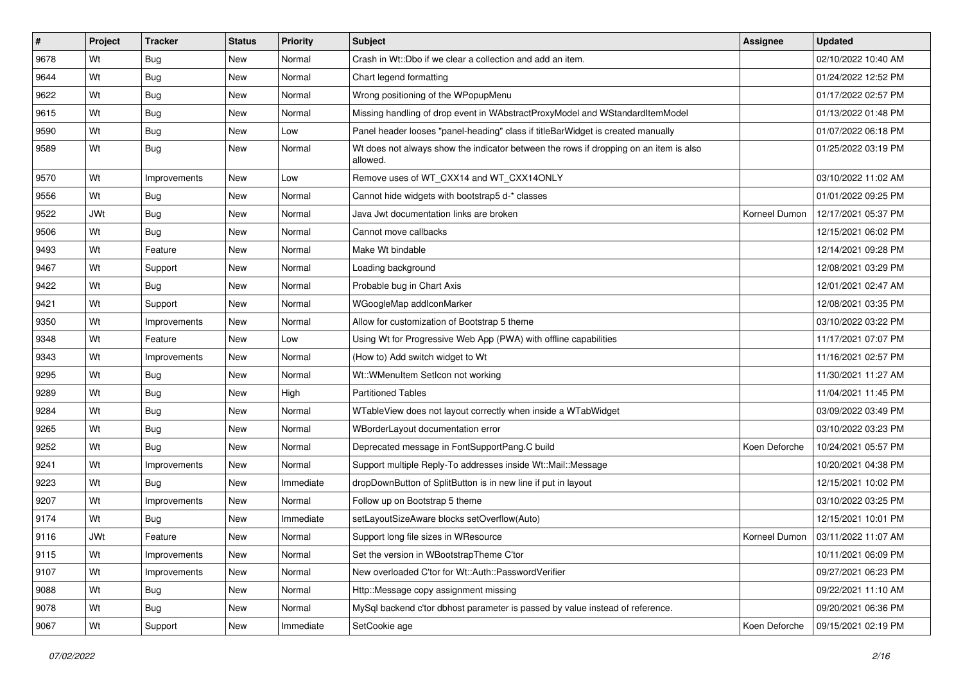| #    | Project    | <b>Tracker</b> | <b>Status</b> | <b>Priority</b> | <b>Subject</b>                                                                                    | <b>Assignee</b> | <b>Updated</b>      |
|------|------------|----------------|---------------|-----------------|---------------------------------------------------------------------------------------------------|-----------------|---------------------|
| 9678 | Wt         | Bug            | New           | Normal          | Crash in Wt::Dbo if we clear a collection and add an item.                                        |                 | 02/10/2022 10:40 AM |
| 9644 | Wt         | <b>Bug</b>     | <b>New</b>    | Normal          | Chart legend formatting                                                                           |                 | 01/24/2022 12:52 PM |
| 9622 | Wt         | <b>Bug</b>     | New           | Normal          | Wrong positioning of the WPopupMenu                                                               |                 | 01/17/2022 02:57 PM |
| 9615 | Wt         | <b>Bug</b>     | New           | Normal          | Missing handling of drop event in WAbstractProxyModel and WStandardItemModel                      |                 | 01/13/2022 01:48 PM |
| 9590 | Wt         | Bug            | New           | Low             | Panel header looses "panel-heading" class if titleBarWidget is created manually                   |                 | 01/07/2022 06:18 PM |
| 9589 | Wt         | <b>Bug</b>     | New           | Normal          | Wt does not always show the indicator between the rows if dropping on an item is also<br>allowed. |                 | 01/25/2022 03:19 PM |
| 9570 | Wt         | Improvements   | New           | Low             | Remove uses of WT_CXX14 and WT_CXX14ONLY                                                          |                 | 03/10/2022 11:02 AM |
| 9556 | Wt         | Bug            | New           | Normal          | Cannot hide widgets with bootstrap5 d-* classes                                                   |                 | 01/01/2022 09:25 PM |
| 9522 | <b>JWt</b> | Bug            | New           | Normal          | Java Jwt documentation links are broken                                                           | Korneel Dumon   | 12/17/2021 05:37 PM |
| 9506 | Wt         | Bug            | New           | Normal          | Cannot move callbacks                                                                             |                 | 12/15/2021 06:02 PM |
| 9493 | Wt         | Feature        | New           | Normal          | Make Wt bindable                                                                                  |                 | 12/14/2021 09:28 PM |
| 9467 | Wt         | Support        | New           | Normal          | Loading background                                                                                |                 | 12/08/2021 03:29 PM |
| 9422 | Wt         | Bug            | New           | Normal          | Probable bug in Chart Axis                                                                        |                 | 12/01/2021 02:47 AM |
| 9421 | Wt         | Support        | <b>New</b>    | Normal          | WGoogleMap addlconMarker                                                                          |                 | 12/08/2021 03:35 PM |
| 9350 | Wt         | Improvements   | New           | Normal          | Allow for customization of Bootstrap 5 theme                                                      |                 | 03/10/2022 03:22 PM |
| 9348 | Wt         | Feature        | New           | Low             | Using Wt for Progressive Web App (PWA) with offline capabilities                                  |                 | 11/17/2021 07:07 PM |
| 9343 | Wt         | Improvements   | New           | Normal          | (How to) Add switch widget to Wt                                                                  |                 | 11/16/2021 02:57 PM |
| 9295 | Wt         | Bug            | New           | Normal          | Wt::WMenuItem SetIcon not working                                                                 |                 | 11/30/2021 11:27 AM |
| 9289 | Wt         | <b>Bug</b>     | New           | High            | <b>Partitioned Tables</b>                                                                         |                 | 11/04/2021 11:45 PM |
| 9284 | Wt         | <b>Bug</b>     | New           | Normal          | WTableView does not layout correctly when inside a WTabWidget                                     |                 | 03/09/2022 03:49 PM |
| 9265 | Wt         | Bug            | New           | Normal          | WBorderLayout documentation error                                                                 |                 | 03/10/2022 03:23 PM |
| 9252 | Wt         | Bug            | New           | Normal          | Deprecated message in FontSupportPang.C build                                                     | Koen Deforche   | 10/24/2021 05:57 PM |
| 9241 | Wt         | Improvements   | New           | Normal          | Support multiple Reply-To addresses inside Wt::Mail::Message                                      |                 | 10/20/2021 04:38 PM |
| 9223 | Wt         | Bug            | New           | Immediate       | dropDownButton of SplitButton is in new line if put in layout                                     |                 | 12/15/2021 10:02 PM |
| 9207 | Wt         | Improvements   | New           | Normal          | Follow up on Bootstrap 5 theme                                                                    |                 | 03/10/2022 03:25 PM |
| 9174 | Wt         | Bug            | New           | Immediate       | setLayoutSizeAware blocks setOverflow(Auto)                                                       |                 | 12/15/2021 10:01 PM |
| 9116 | <b>JWt</b> | Feature        | New           | Normal          | Support long file sizes in WResource                                                              | Korneel Dumon   | 03/11/2022 11:07 AM |
| 9115 | Wt         | Improvements   | New           | Normal          | Set the version in WBootstrapTheme C'tor                                                          |                 | 10/11/2021 06:09 PM |
| 9107 | Wt         | Improvements   | New           | Normal          | New overloaded C'tor for Wt::Auth::PasswordVerifier                                               |                 | 09/27/2021 06:23 PM |
| 9088 | Wt         | Bug            | <b>New</b>    | Normal          | Http::Message copy assignment missing                                                             |                 | 09/22/2021 11:10 AM |
| 9078 | Wt         | <b>Bug</b>     | New           | Normal          | MySql backend c'tor dbhost parameter is passed by value instead of reference.                     |                 | 09/20/2021 06:36 PM |
| 9067 | Wt         | Support        | New           | Immediate       | SetCookie age                                                                                     | Koen Deforche   | 09/15/2021 02:19 PM |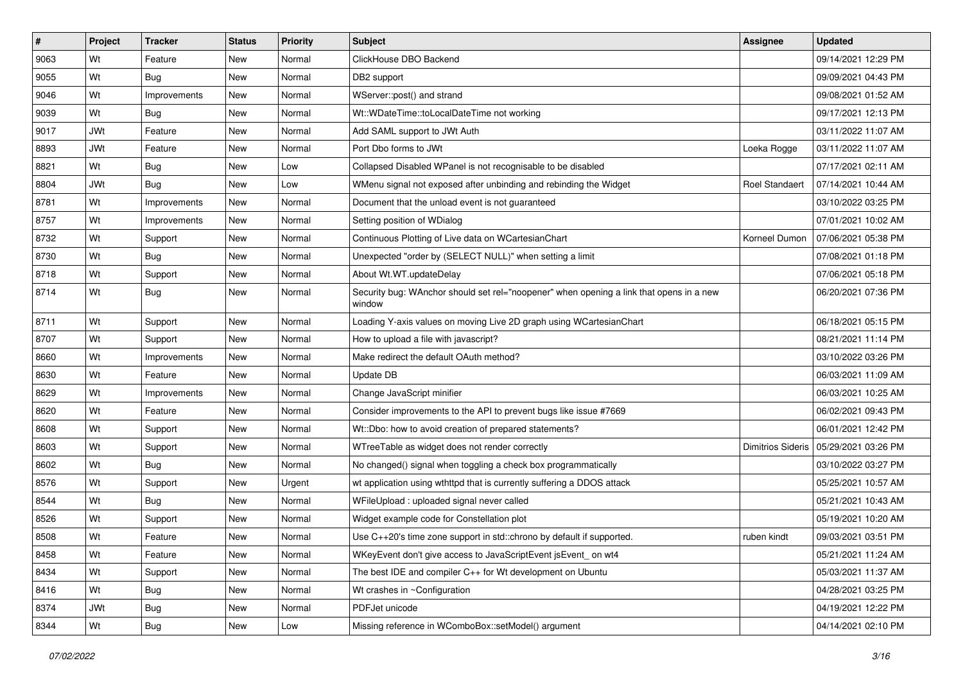| $\sharp$ | Project    | <b>Tracker</b> | <b>Status</b> | <b>Priority</b> | <b>Subject</b>                                                                                    | <b>Assignee</b>          | <b>Updated</b>      |
|----------|------------|----------------|---------------|-----------------|---------------------------------------------------------------------------------------------------|--------------------------|---------------------|
| 9063     | Wt         | Feature        | New           | Normal          | ClickHouse DBO Backend                                                                            |                          | 09/14/2021 12:29 PM |
| 9055     | Wt         | Bug            | <b>New</b>    | Normal          | DB2 support                                                                                       |                          | 09/09/2021 04:43 PM |
| 9046     | Wt         | Improvements   | New           | Normal          | WServer::post() and strand                                                                        |                          | 09/08/2021 01:52 AM |
| 9039     | Wt         | Bug            | New           | Normal          | Wt::WDateTime::toLocalDateTime not working                                                        |                          | 09/17/2021 12:13 PM |
| 9017     | <b>JWt</b> | Feature        | New           | Normal          | Add SAML support to JWt Auth                                                                      |                          | 03/11/2022 11:07 AM |
| 8893     | <b>JWt</b> | Feature        | New           | Normal          | Port Dbo forms to JWt                                                                             | Loeka Rogge              | 03/11/2022 11:07 AM |
| 8821     | Wt         | Bug            | New           | Low             | Collapsed Disabled WPanel is not recognisable to be disabled                                      |                          | 07/17/2021 02:11 AM |
| 8804     | <b>JWt</b> | Bug            | New           | Low             | WMenu signal not exposed after unbinding and rebinding the Widget                                 | <b>Roel Standaert</b>    | 07/14/2021 10:44 AM |
| 8781     | Wt         | Improvements   | New           | Normal          | Document that the unload event is not guaranteed                                                  |                          | 03/10/2022 03:25 PM |
| 8757     | Wt         | Improvements   | <b>New</b>    | Normal          | Setting position of WDialog                                                                       |                          | 07/01/2021 10:02 AM |
| 8732     | Wt         | Support        | New           | Normal          | Continuous Plotting of Live data on WCartesianChart                                               | Korneel Dumon            | 07/06/2021 05:38 PM |
| 8730     | Wt         | Bug            | New           | Normal          | Unexpected "order by (SELECT NULL)" when setting a limit                                          |                          | 07/08/2021 01:18 PM |
| 8718     | Wt         | Support        | New           | Normal          | About Wt.WT.updateDelay                                                                           |                          | 07/06/2021 05:18 PM |
| 8714     | Wt         | Bug            | New           | Normal          | Security bug: WAnchor should set rel="noopener" when opening a link that opens in a new<br>window |                          | 06/20/2021 07:36 PM |
| 8711     | Wt         | Support        | New           | Normal          | Loading Y-axis values on moving Live 2D graph using WCartesianChart                               |                          | 06/18/2021 05:15 PM |
| 8707     | Wt         | Support        | New           | Normal          | How to upload a file with javascript?                                                             |                          | 08/21/2021 11:14 PM |
| 8660     | Wt         | Improvements   | New           | Normal          | Make redirect the default OAuth method?                                                           |                          | 03/10/2022 03:26 PM |
| 8630     | Wt         | Feature        | New           | Normal          | Update DB                                                                                         |                          | 06/03/2021 11:09 AM |
| 8629     | Wt         | Improvements   | New           | Normal          | Change JavaScript minifier                                                                        |                          | 06/03/2021 10:25 AM |
| 8620     | Wt         | Feature        | New           | Normal          | Consider improvements to the API to prevent bugs like issue #7669                                 |                          | 06/02/2021 09:43 PM |
| 8608     | Wt         | Support        | New           | Normal          | Wt::Dbo: how to avoid creation of prepared statements?                                            |                          | 06/01/2021 12:42 PM |
| 8603     | Wt         | Support        | <b>New</b>    | Normal          | WTreeTable as widget does not render correctly                                                    | <b>Dimitrios Sideris</b> | 05/29/2021 03:26 PM |
| 8602     | Wt         | Bug            | New           | Normal          | No changed() signal when toggling a check box programmatically                                    |                          | 03/10/2022 03:27 PM |
| 8576     | Wt         | Support        | New           | Urgent          | wt application using wthttpd that is currently suffering a DDOS attack                            |                          | 05/25/2021 10:57 AM |
| 8544     | Wt         | Bug            | New           | Normal          | WFileUpload : uploaded signal never called                                                        |                          | 05/21/2021 10:43 AM |
| 8526     | Wt         | Support        | New           | Normal          | Widget example code for Constellation plot                                                        |                          | 05/19/2021 10:20 AM |
| 8508     | Wt         | Feature        | New           | Normal          | Use C++20's time zone support in std::chrono by default if supported.                             | ruben kindt              | 09/03/2021 03:51 PM |
| 8458     | Wt         | Feature        | New           | Normal          | WKeyEvent don't give access to JavaScriptEvent jsEvent_on wt4                                     |                          | 05/21/2021 11:24 AM |
| 8434     | Wt         | Support        | New           | Normal          | The best IDE and compiler C++ for Wt development on Ubuntu                                        |                          | 05/03/2021 11:37 AM |
| 8416     | Wt         | <b>Bug</b>     | New           | Normal          | Wt crashes in ~Configuration                                                                      |                          | 04/28/2021 03:25 PM |
| 8374     | <b>JWt</b> | <b>Bug</b>     | New           | Normal          | PDFJet unicode                                                                                    |                          | 04/19/2021 12:22 PM |
| 8344     | Wt         | Bug            | New           | Low             | Missing reference in WComboBox::setModel() argument                                               |                          | 04/14/2021 02:10 PM |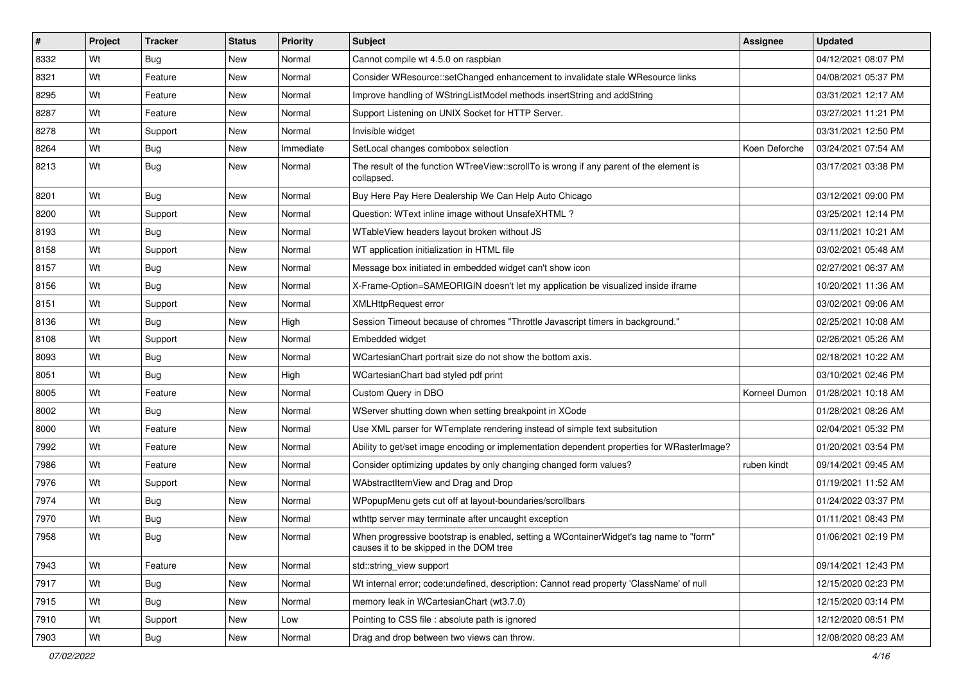| $\vert$ # | Project | <b>Tracker</b> | <b>Status</b> | <b>Priority</b> | <b>Subject</b>                                                                                                                    | Assignee      | <b>Updated</b>      |
|-----------|---------|----------------|---------------|-----------------|-----------------------------------------------------------------------------------------------------------------------------------|---------------|---------------------|
| 8332      | Wt      | Bug            | New           | Normal          | Cannot compile wt 4.5.0 on raspbian                                                                                               |               | 04/12/2021 08:07 PM |
| 8321      | Wt      | Feature        | New           | Normal          | Consider WResource::setChanged enhancement to invalidate stale WResource links                                                    |               | 04/08/2021 05:37 PM |
| 8295      | Wt      | Feature        | New           | Normal          | Improve handling of WStringListModel methods insertString and addString                                                           |               | 03/31/2021 12:17 AM |
| 8287      | Wt      | Feature        | New           | Normal          | Support Listening on UNIX Socket for HTTP Server.                                                                                 |               | 03/27/2021 11:21 PM |
| 8278      | Wt      | Support        | New           | Normal          | Invisible widget                                                                                                                  |               | 03/31/2021 12:50 PM |
| 8264      | Wt      | <b>Bug</b>     | New           | Immediate       | SetLocal changes combobox selection                                                                                               | Koen Deforche | 03/24/2021 07:54 AM |
| 8213      | Wt      | Bug            | New           | Normal          | The result of the function WTreeView::scrollTo is wrong if any parent of the element is<br>collapsed.                             |               | 03/17/2021 03:38 PM |
| 8201      | Wt      | Bug            | New           | Normal          | Buy Here Pay Here Dealership We Can Help Auto Chicago                                                                             |               | 03/12/2021 09:00 PM |
| 8200      | Wt      | Support        | New           | Normal          | Question: WText inline image without UnsafeXHTML?                                                                                 |               | 03/25/2021 12:14 PM |
| 8193      | Wt      | Bug            | New           | Normal          | WTableView headers layout broken without JS                                                                                       |               | 03/11/2021 10:21 AM |
| 8158      | Wt      | Support        | New           | Normal          | WT application initialization in HTML file                                                                                        |               | 03/02/2021 05:48 AM |
| 8157      | Wt      | Bug            | New           | Normal          | Message box initiated in embedded widget can't show icon                                                                          |               | 02/27/2021 06:37 AM |
| 8156      | Wt      | Bug            | New           | Normal          | X-Frame-Option=SAMEORIGIN doesn't let my application be visualized inside iframe                                                  |               | 10/20/2021 11:36 AM |
| 8151      | Wt      | Support        | New           | Normal          | <b>XMLHttpRequest error</b>                                                                                                       |               | 03/02/2021 09:06 AM |
| 8136      | Wt      | Bug            | New           | High            | Session Timeout because of chromes "Throttle Javascript timers in background."                                                    |               | 02/25/2021 10:08 AM |
| 8108      | Wt      | Support        | New           | Normal          | Embedded widget                                                                                                                   |               | 02/26/2021 05:26 AM |
| 8093      | Wt      | Bug            | New           | Normal          | WCartesianChart portrait size do not show the bottom axis.                                                                        |               | 02/18/2021 10:22 AM |
| 8051      | Wt      | Bug            | New           | High            | WCartesianChart bad styled pdf print                                                                                              |               | 03/10/2021 02:46 PM |
| 8005      | Wt      | Feature        | New           | Normal          | Custom Query in DBO                                                                                                               | Korneel Dumon | 01/28/2021 10:18 AM |
| 8002      | Wt      | Bug            | New           | Normal          | WServer shutting down when setting breakpoint in XCode                                                                            |               | 01/28/2021 08:26 AM |
| 8000      | Wt      | Feature        | New           | Normal          | Use XML parser for WTemplate rendering instead of simple text subsitution                                                         |               | 02/04/2021 05:32 PM |
| 7992      | Wt      | Feature        | New           | Normal          | Ability to get/set image encoding or implementation dependent properties for WRasterImage?                                        |               | 01/20/2021 03:54 PM |
| 7986      | Wt      | Feature        | New           | Normal          | Consider optimizing updates by only changing changed form values?                                                                 | ruben kindt   | 09/14/2021 09:45 AM |
| 7976      | Wt      | Support        | New           | Normal          | WAbstractItemView and Drag and Drop                                                                                               |               | 01/19/2021 11:52 AM |
| 7974      | Wt      | Bug            | New           | Normal          | WPopupMenu gets cut off at layout-boundaries/scrollbars                                                                           |               | 01/24/2022 03:37 PM |
| 7970      | Wt      | <b>Bug</b>     | New           | Normal          | wthttp server may terminate after uncaught exception                                                                              |               | 01/11/2021 08:43 PM |
| 7958      | Wt      | Bug            | New           | Normal          | When progressive bootstrap is enabled, setting a WContainerWidget's tag name to "form"<br>causes it to be skipped in the DOM tree |               | 01/06/2021 02:19 PM |
| 7943      | Wt      | Feature        | New           | Normal          | std::string_view support                                                                                                          |               | 09/14/2021 12:43 PM |
| 7917      | Wt      | <b>Bug</b>     | New           | Normal          | Wt internal error; code:undefined, description: Cannot read property 'ClassName' of null                                          |               | 12/15/2020 02:23 PM |
| 7915      | Wt      | Bug            | New           | Normal          | memory leak in WCartesianChart (wt3.7.0)                                                                                          |               | 12/15/2020 03:14 PM |
| 7910      | Wt      | Support        | New           | Low             | Pointing to CSS file : absolute path is ignored                                                                                   |               | 12/12/2020 08:51 PM |
| 7903      | Wt      | <b>Bug</b>     | New           | Normal          | Drag and drop between two views can throw.                                                                                        |               | 12/08/2020 08:23 AM |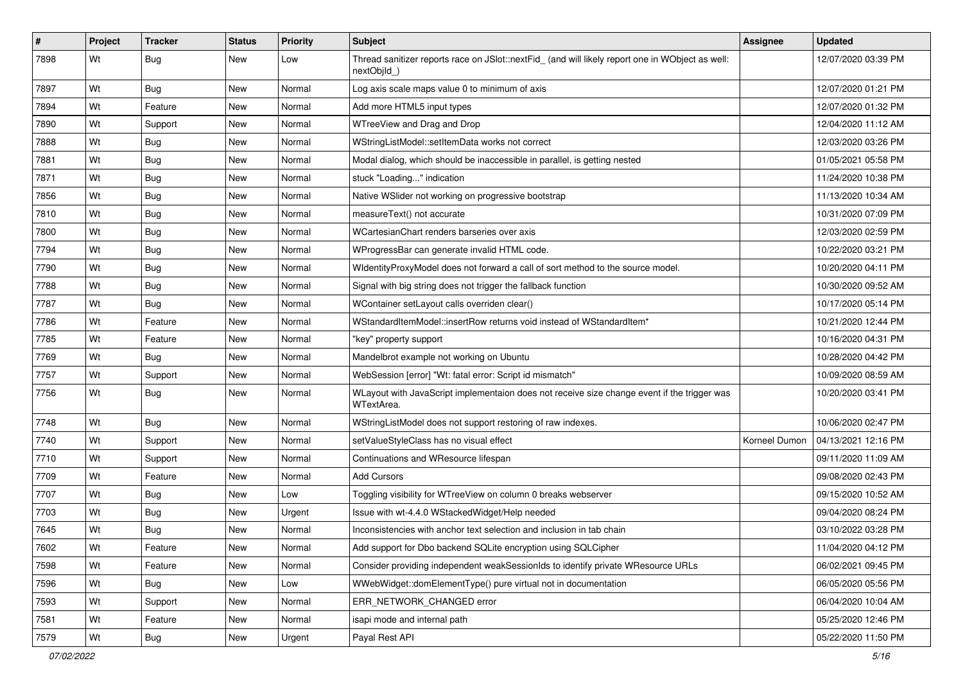| $\vert$ # | Project | <b>Tracker</b> | <b>Status</b> | <b>Priority</b> | <b>Subject</b>                                                                                                  | <b>Assignee</b> | <b>Updated</b>      |
|-----------|---------|----------------|---------------|-----------------|-----------------------------------------------------------------------------------------------------------------|-----------------|---------------------|
| 7898      | Wt      | Bug            | New           | Low             | Thread sanitizer reports race on JSlot::nextFid_ (and will likely report one in WObject as well:<br>nextObjId_) |                 | 12/07/2020 03:39 PM |
| 7897      | Wt      | Bug            | New           | Normal          | Log axis scale maps value 0 to minimum of axis                                                                  |                 | 12/07/2020 01:21 PM |
| 7894      | Wt      | Feature        | New           | Normal          | Add more HTML5 input types                                                                                      |                 | 12/07/2020 01:32 PM |
| 7890      | Wt      | Support        | New           | Normal          | WTreeView and Drag and Drop                                                                                     |                 | 12/04/2020 11:12 AM |
| 7888      | Wt      | Bug            | New           | Normal          | WStringListModel::setItemData works not correct                                                                 |                 | 12/03/2020 03:26 PM |
| 7881      | Wt      | Bug            | New           | Normal          | Modal dialog, which should be inaccessible in parallel, is getting nested                                       |                 | 01/05/2021 05:58 PM |
| 7871      | Wt      | Bug            | New           | Normal          | stuck "Loading" indication                                                                                      |                 | 11/24/2020 10:38 PM |
| 7856      | Wt      | Bug            | New           | Normal          | Native WSlider not working on progressive bootstrap                                                             |                 | 11/13/2020 10:34 AM |
| 7810      | Wt      | Bug            | New           | Normal          | measureText() not accurate                                                                                      |                 | 10/31/2020 07:09 PM |
| 7800      | Wt      | <b>Bug</b>     | New           | Normal          | WCartesianChart renders barseries over axis                                                                     |                 | 12/03/2020 02:59 PM |
| 7794      | Wt      | Bug            | New           | Normal          | WProgressBar can generate invalid HTML code.                                                                    |                 | 10/22/2020 03:21 PM |
| 7790      | Wt      | Bug            | New           | Normal          | WidentityProxyModel does not forward a call of sort method to the source model.                                 |                 | 10/20/2020 04:11 PM |
| 7788      | Wt      | Bug            | New           | Normal          | Signal with big string does not trigger the fallback function                                                   |                 | 10/30/2020 09:52 AM |
| 7787      | Wt      | Bug            | New           | Normal          | WContainer setLayout calls overriden clear()                                                                    |                 | 10/17/2020 05:14 PM |
| 7786      | Wt      | Feature        | New           | Normal          | WStandardItemModel::insertRow returns void instead of WStandardItem*                                            |                 | 10/21/2020 12:44 PM |
| 7785      | Wt      | Feature        | New           | Normal          | "key" property support                                                                                          |                 | 10/16/2020 04:31 PM |
| 7769      | Wt      | Bug            | New           | Normal          | Mandelbrot example not working on Ubuntu                                                                        |                 | 10/28/2020 04:42 PM |
| 7757      | Wt      | Support        | New           | Normal          | WebSession [error] "Wt: fatal error: Script id mismatch"                                                        |                 | 10/09/2020 08:59 AM |
| 7756      | Wt      | Bug            | New           | Normal          | WLayout with JavaScript implementaion does not receive size change event if the trigger was<br>WTextArea.       |                 | 10/20/2020 03:41 PM |
| 7748      | Wt      | <b>Bug</b>     | New           | Normal          | WStringListModel does not support restoring of raw indexes.                                                     |                 | 10/06/2020 02:47 PM |
| 7740      | Wt      | Support        | New           | Normal          | setValueStyleClass has no visual effect                                                                         | Korneel Dumon   | 04/13/2021 12:16 PM |
| 7710      | Wt      | Support        | New           | Normal          | Continuations and WResource lifespan                                                                            |                 | 09/11/2020 11:09 AM |
| 7709      | Wt      | Feature        | New           | Normal          | <b>Add Cursors</b>                                                                                              |                 | 09/08/2020 02:43 PM |
| 7707      | Wt      | Bug            | New           | Low             | Toggling visibility for WTreeView on column 0 breaks webserver                                                  |                 | 09/15/2020 10:52 AM |
| 7703      | Wt      | Bug            | New           | Urgent          | Issue with wt-4.4.0 WStackedWidget/Help needed                                                                  |                 | 09/04/2020 08:24 PM |
| 7645      | Wt      | <b>Bug</b>     | New           | Normal          | Inconsistencies with anchor text selection and inclusion in tab chain                                           |                 | 03/10/2022 03:28 PM |
| 7602      | Wt      | Feature        | New           | Normal          | Add support for Dbo backend SQLite encryption using SQLCipher                                                   |                 | 11/04/2020 04:12 PM |
| 7598      | Wt      | Feature        | New           | Normal          | Consider providing independent weakSessionIds to identify private WResource URLs                                |                 | 06/02/2021 09:45 PM |
| 7596      | Wt      | <b>Bug</b>     | <b>New</b>    | Low             | WWebWidget::domElementType() pure virtual not in documentation                                                  |                 | 06/05/2020 05:56 PM |
| 7593      | Wt      | Support        | New           | Normal          | ERR_NETWORK_CHANGED error                                                                                       |                 | 06/04/2020 10:04 AM |
| 7581      | Wt      | Feature        | New           | Normal          | isapi mode and internal path                                                                                    |                 | 05/25/2020 12:46 PM |
| 7579      | Wt      | <b>Bug</b>     | New           | Urgent          | Payal Rest API                                                                                                  |                 | 05/22/2020 11:50 PM |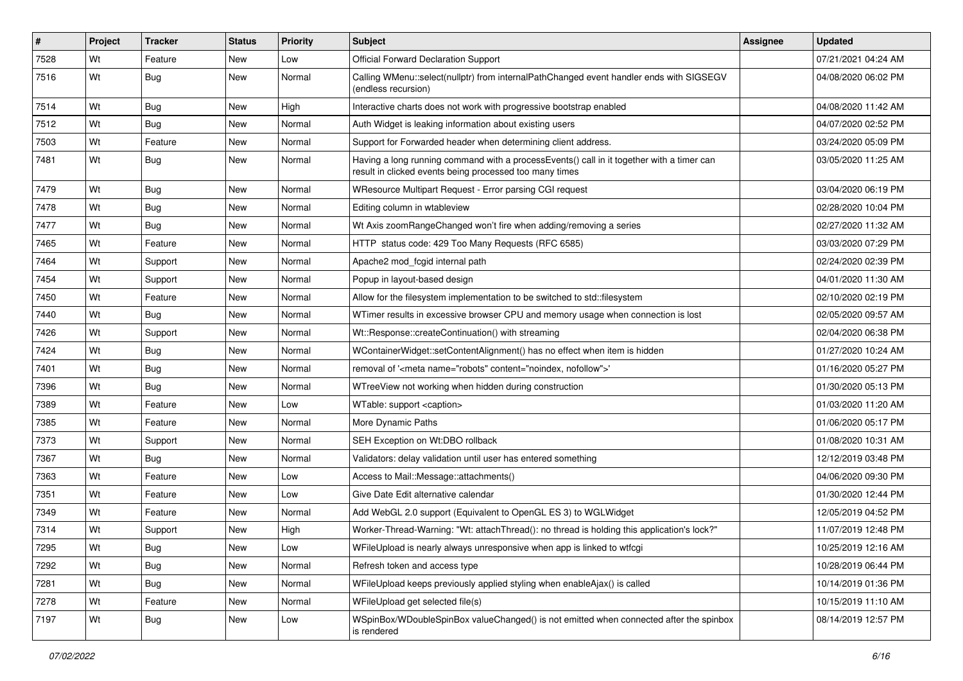| #    | Project | <b>Tracker</b> | <b>Status</b> | <b>Priority</b> | <b>Subject</b>                                                                                                                                       | <b>Assignee</b> | <b>Updated</b>      |
|------|---------|----------------|---------------|-----------------|------------------------------------------------------------------------------------------------------------------------------------------------------|-----------------|---------------------|
| 7528 | Wt      | Feature        | New           | Low             | <b>Official Forward Declaration Support</b>                                                                                                          |                 | 07/21/2021 04:24 AM |
| 7516 | Wt      | Bug            | New           | Normal          | Calling WMenu::select(nullptr) from internalPathChanged event handler ends with SIGSEGV<br>(endless recursion)                                       |                 | 04/08/2020 06:02 PM |
| 7514 | Wt      | Bug            | <b>New</b>    | High            | Interactive charts does not work with progressive bootstrap enabled                                                                                  |                 | 04/08/2020 11:42 AM |
| 7512 | Wt      | Bug            | New           | Normal          | Auth Widget is leaking information about existing users                                                                                              |                 | 04/07/2020 02:52 PM |
| 7503 | Wt      | Feature        | <b>New</b>    | Normal          | Support for Forwarded header when determining client address.                                                                                        |                 | 03/24/2020 05:09 PM |
| 7481 | Wt      | Bug            | New           | Normal          | Having a long running command with a processEvents() call in it together with a timer can<br>result in clicked events being processed too many times |                 | 03/05/2020 11:25 AM |
| 7479 | Wt      | Bug            | <b>New</b>    | Normal          | WResource Multipart Request - Error parsing CGI request                                                                                              |                 | 03/04/2020 06:19 PM |
| 7478 | Wt      | Bug            | <b>New</b>    | Normal          | Editing column in wtableview                                                                                                                         |                 | 02/28/2020 10:04 PM |
| 7477 | Wt      | <b>Bug</b>     | New           | Normal          | Wt Axis zoomRangeChanged won't fire when adding/removing a series                                                                                    |                 | 02/27/2020 11:32 AM |
| 7465 | Wt      | Feature        | New           | Normal          | HTTP status code: 429 Too Many Requests (RFC 6585)                                                                                                   |                 | 03/03/2020 07:29 PM |
| 7464 | Wt      | Support        | <b>New</b>    | Normal          | Apache2 mod_fcgid internal path                                                                                                                      |                 | 02/24/2020 02:39 PM |
| 7454 | Wt      | Support        | New           | Normal          | Popup in layout-based design                                                                                                                         |                 | 04/01/2020 11:30 AM |
| 7450 | Wt      | Feature        | New           | Normal          | Allow for the filesystem implementation to be switched to std::filesystem                                                                            |                 | 02/10/2020 02:19 PM |
| 7440 | Wt      | Bug            | New           | Normal          | WTimer results in excessive browser CPU and memory usage when connection is lost                                                                     |                 | 02/05/2020 09:57 AM |
| 7426 | Wt      | Support        | <b>New</b>    | Normal          | Wt::Response::createContinuation() with streaming                                                                                                    |                 | 02/04/2020 06:38 PM |
| 7424 | Wt      | Bug            | New           | Normal          | WContainerWidget::setContentAlignment() has no effect when item is hidden                                                                            |                 | 01/27/2020 10:24 AM |
| 7401 | Wt      | Bug            | <b>New</b>    | Normal          | removal of ' <meta content="noindex, nofollow" name="robots"/> '                                                                                     |                 | 01/16/2020 05:27 PM |
| 7396 | Wt      | <b>Bug</b>     | New           | Normal          | WTreeView not working when hidden during construction                                                                                                |                 | 01/30/2020 05:13 PM |
| 7389 | Wt      | Feature        | <b>New</b>    | Low             | WTable: support <caption></caption>                                                                                                                  |                 | 01/03/2020 11:20 AM |
| 7385 | Wt      | Feature        | New           | Normal          | More Dynamic Paths                                                                                                                                   |                 | 01/06/2020 05:17 PM |
| 7373 | Wt      | Support        | New           | Normal          | SEH Exception on Wt:DBO rollback                                                                                                                     |                 | 01/08/2020 10:31 AM |
| 7367 | Wt      | <b>Bug</b>     | New           | Normal          | Validators: delay validation until user has entered something                                                                                        |                 | 12/12/2019 03:48 PM |
| 7363 | Wt      | Feature        | New           | Low             | Access to Mail::Message::attachments()                                                                                                               |                 | 04/06/2020 09:30 PM |
| 7351 | Wt      | Feature        | <b>New</b>    | Low             | Give Date Edit alternative calendar                                                                                                                  |                 | 01/30/2020 12:44 PM |
| 7349 | Wt      | Feature        | New           | Normal          | Add WebGL 2.0 support (Equivalent to OpenGL ES 3) to WGLWidget                                                                                       |                 | 12/05/2019 04:52 PM |
| 7314 | Wt      | Support        | <b>New</b>    | High            | Worker-Thread-Warning: "Wt: attachThread(): no thread is holding this application's lock?"                                                           |                 | 11/07/2019 12:48 PM |
| 7295 | Wt      | Bug            | New           | Low             | WFileUpload is nearly always unresponsive when app is linked to wtfcgi                                                                               |                 | 10/25/2019 12:16 AM |
| 7292 | Wt      | <b>Bug</b>     | New           | Normal          | Refresh token and access type                                                                                                                        |                 | 10/28/2019 06:44 PM |
| 7281 | Wt      | <b>Bug</b>     | New           | Normal          | WFileUpload keeps previously applied styling when enableAjax() is called                                                                             |                 | 10/14/2019 01:36 PM |
| 7278 | Wt      | Feature        | New           | Normal          | WFileUpload get selected file(s)                                                                                                                     |                 | 10/15/2019 11:10 AM |
| 7197 | Wt      | <b>Bug</b>     | New           | Low             | WSpinBox/WDoubleSpinBox valueChanged() is not emitted when connected after the spinbox<br>is rendered                                                |                 | 08/14/2019 12:57 PM |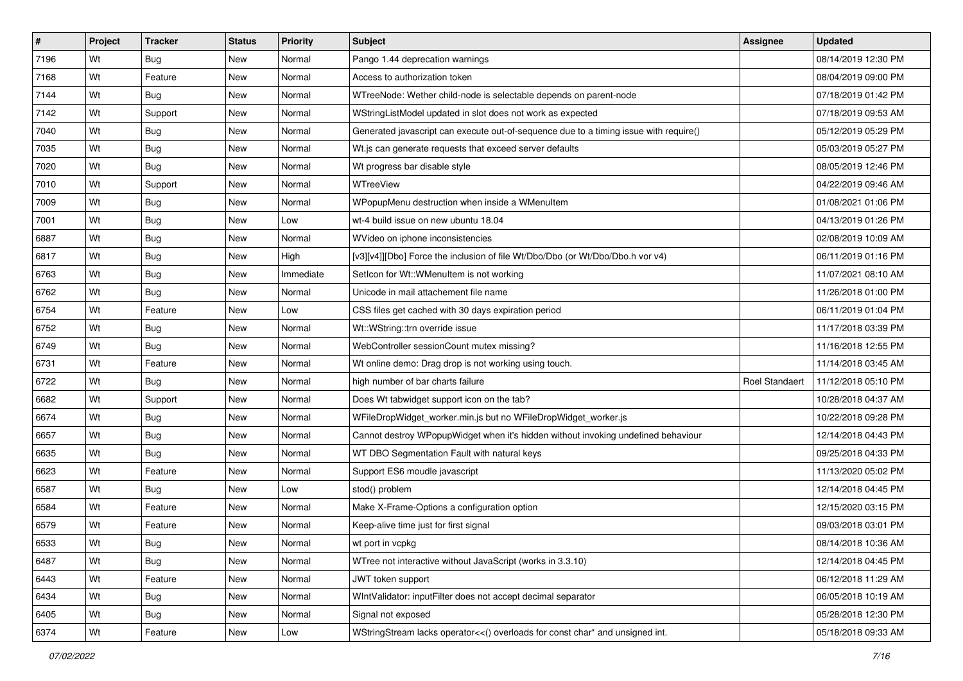| $\vert$ # | Project | <b>Tracker</b> | <b>Status</b> | <b>Priority</b> | <b>Subject</b>                                                                        | Assignee       | <b>Updated</b>      |
|-----------|---------|----------------|---------------|-----------------|---------------------------------------------------------------------------------------|----------------|---------------------|
| 7196      | Wt      | Bug            | New           | Normal          | Pango 1.44 deprecation warnings                                                       |                | 08/14/2019 12:30 PM |
| 7168      | Wt      | Feature        | New           | Normal          | Access to authorization token                                                         |                | 08/04/2019 09:00 PM |
| 7144      | Wt      | Bug            | New           | Normal          | WTreeNode: Wether child-node is selectable depends on parent-node                     |                | 07/18/2019 01:42 PM |
| 7142      | Wt      | Support        | New           | Normal          | WStringListModel updated in slot does not work as expected                            |                | 07/18/2019 09:53 AM |
| 7040      | Wt      | Bug            | New           | Normal          | Generated javascript can execute out-of-sequence due to a timing issue with require() |                | 05/12/2019 05:29 PM |
| 7035      | Wt      | <b>Bug</b>     | New           | Normal          | Wt.js can generate requests that exceed server defaults                               |                | 05/03/2019 05:27 PM |
| 7020      | Wt      | Bug            | New           | Normal          | Wt progress bar disable style                                                         |                | 08/05/2019 12:46 PM |
| 7010      | Wt      | Support        | New           | Normal          | WTreeView                                                                             |                | 04/22/2019 09:46 AM |
| 7009      | Wt      | <b>Bug</b>     | New           | Normal          | WPopupMenu destruction when inside a WMenuItem                                        |                | 01/08/2021 01:06 PM |
| 7001      | Wt      | Bug            | New           | Low             | wt-4 build issue on new ubuntu 18.04                                                  |                | 04/13/2019 01:26 PM |
| 6887      | Wt      | <b>Bug</b>     | New           | Normal          | WVideo on iphone inconsistencies                                                      |                | 02/08/2019 10:09 AM |
| 6817      | Wt      | <b>Bug</b>     | New           | High            | [v3][v4]][Dbo] Force the inclusion of file Wt/Dbo/Dbo (or Wt/Dbo/Dbo.h vor v4)        |                | 06/11/2019 01:16 PM |
| 6763      | Wt      | Bug            | New           | Immediate       | SetIcon for Wt:: WMenuItem is not working                                             |                | 11/07/2021 08:10 AM |
| 6762      | Wt      | Bug            | New           | Normal          | Unicode in mail attachement file name                                                 |                | 11/26/2018 01:00 PM |
| 6754      | Wt      | Feature        | New           | Low             | CSS files get cached with 30 days expiration period                                   |                | 06/11/2019 01:04 PM |
| 6752      | Wt      | <b>Bug</b>     | New           | Normal          | Wt::WString::trn override issue                                                       |                | 11/17/2018 03:39 PM |
| 6749      | Wt      | Bug            | New           | Normal          | WebController sessionCount mutex missing?                                             |                | 11/16/2018 12:55 PM |
| 6731      | Wt      | Feature        | New           | Normal          | Wt online demo: Drag drop is not working using touch.                                 |                | 11/14/2018 03:45 AM |
| 6722      | Wt      | Bug            | New           | Normal          | high number of bar charts failure                                                     | Roel Standaert | 11/12/2018 05:10 PM |
| 6682      | Wt      | Support        | New           | Normal          | Does Wt tabwidget support icon on the tab?                                            |                | 10/28/2018 04:37 AM |
| 6674      | Wt      | Bug            | New           | Normal          | WFileDropWidget_worker.min.js but no WFileDropWidget_worker.js                        |                | 10/22/2018 09:28 PM |
| 6657      | Wt      | Bug            | New           | Normal          | Cannot destroy WPopupWidget when it's hidden without invoking undefined behaviour     |                | 12/14/2018 04:43 PM |
| 6635      | Wt      | <b>Bug</b>     | New           | Normal          | WT DBO Segmentation Fault with natural keys                                           |                | 09/25/2018 04:33 PM |
| 6623      | Wt      | Feature        | New           | Normal          | Support ES6 moudle javascript                                                         |                | 11/13/2020 05:02 PM |
| 6587      | Wt      | <b>Bug</b>     | New           | Low             | stod() problem                                                                        |                | 12/14/2018 04:45 PM |
| 6584      | Wt      | Feature        | New           | Normal          | Make X-Frame-Options a configuration option                                           |                | 12/15/2020 03:15 PM |
| 6579      | Wt      | Feature        | New           | Normal          | Keep-alive time just for first signal                                                 |                | 09/03/2018 03:01 PM |
| 6533      | Wt      | <b>Bug</b>     | New           | Normal          | wt port in vcpkg                                                                      |                | 08/14/2018 10:36 AM |
| 6487      | Wt      | <b>Bug</b>     | New           | Normal          | WTree not interactive without JavaScript (works in 3.3.10)                            |                | 12/14/2018 04:45 PM |
| 6443      | Wt      | Feature        | New           | Normal          | JWT token support                                                                     |                | 06/12/2018 11:29 AM |
| 6434      | Wt      | <b>Bug</b>     | New           | Normal          | WIntValidator: inputFilter does not accept decimal separator                          |                | 06/05/2018 10:19 AM |
| 6405      | Wt      | <b>Bug</b>     | New           | Normal          | Signal not exposed                                                                    |                | 05/28/2018 12:30 PM |
| 6374      | Wt      | Feature        | New           | Low             | WStringStream lacks operator<<() overloads for const char* and unsigned int.          |                | 05/18/2018 09:33 AM |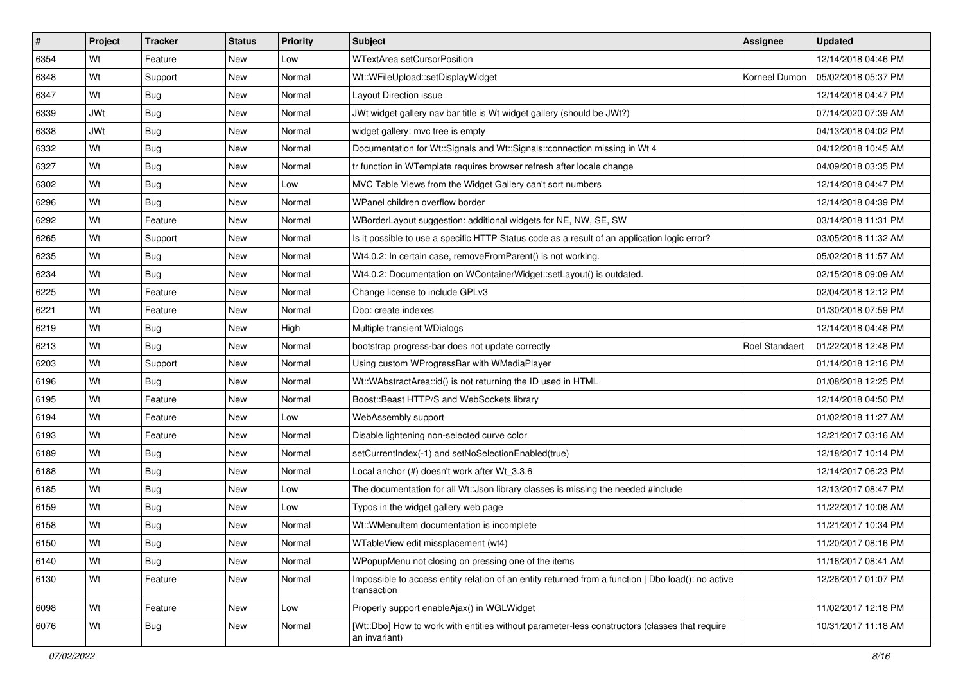| #    | Project    | <b>Tracker</b> | <b>Status</b> | <b>Priority</b> | <b>Subject</b>                                                                                                    | <b>Assignee</b>       | <b>Updated</b>      |
|------|------------|----------------|---------------|-----------------|-------------------------------------------------------------------------------------------------------------------|-----------------------|---------------------|
| 6354 | Wt         | Feature        | New           | Low             | WTextArea setCursorPosition                                                                                       |                       | 12/14/2018 04:46 PM |
| 6348 | Wt         | Support        | <b>New</b>    | Normal          | Wt::WFileUpload::setDisplayWidget                                                                                 | Korneel Dumon         | 05/02/2018 05:37 PM |
| 6347 | Wt         | <b>Bug</b>     | New           | Normal          | Layout Direction issue                                                                                            |                       | 12/14/2018 04:47 PM |
| 6339 | <b>JWt</b> | Bug            | New           | Normal          | JWt widget gallery nav bar title is Wt widget gallery (should be JWt?)                                            |                       | 07/14/2020 07:39 AM |
| 6338 | JWt        | Bug            | <b>New</b>    | Normal          | widget gallery: mvc tree is empty                                                                                 |                       | 04/13/2018 04:02 PM |
| 6332 | Wt         | <b>Bug</b>     | New           | Normal          | Documentation for Wt::Signals and Wt::Signals::connection missing in Wt 4                                         |                       | 04/12/2018 10:45 AM |
| 6327 | Wt         | Bug            | <b>New</b>    | Normal          | tr function in WTemplate requires browser refresh after locale change                                             |                       | 04/09/2018 03:35 PM |
| 6302 | Wt         | <b>Bug</b>     | New           | Low             | MVC Table Views from the Widget Gallery can't sort numbers                                                        |                       | 12/14/2018 04:47 PM |
| 6296 | Wt         | Bug            | <b>New</b>    | Normal          | WPanel children overflow border                                                                                   |                       | 12/14/2018 04:39 PM |
| 6292 | Wt         | Feature        | New           | Normal          | WBorderLayout suggestion: additional widgets for NE, NW, SE, SW                                                   |                       | 03/14/2018 11:31 PM |
| 6265 | Wt         | Support        | New           | Normal          | Is it possible to use a specific HTTP Status code as a result of an application logic error?                      |                       | 03/05/2018 11:32 AM |
| 6235 | Wt         | Bug            | New           | Normal          | Wt4.0.2: In certain case, removeFromParent() is not working.                                                      |                       | 05/02/2018 11:57 AM |
| 6234 | Wt         | Bug            | New           | Normal          | Wt4.0.2: Documentation on WContainerWidget::setLayout() is outdated.                                              |                       | 02/15/2018 09:09 AM |
| 6225 | Wt         | Feature        | <b>New</b>    | Normal          | Change license to include GPLv3                                                                                   |                       | 02/04/2018 12:12 PM |
| 6221 | Wt         | Feature        | New           | Normal          | Dbo: create indexes                                                                                               |                       | 01/30/2018 07:59 PM |
| 6219 | Wt         | <b>Bug</b>     | New           | High            | Multiple transient WDialogs                                                                                       |                       | 12/14/2018 04:48 PM |
| 6213 | Wt         | Bug            | New           | Normal          | bootstrap progress-bar does not update correctly                                                                  | <b>Roel Standaert</b> | 01/22/2018 12:48 PM |
| 6203 | Wt         | Support        | New           | Normal          | Using custom WProgressBar with WMediaPlayer                                                                       |                       | 01/14/2018 12:16 PM |
| 6196 | Wt         | Bug            | New           | Normal          | Wt::WAbstractArea::id() is not returning the ID used in HTML                                                      |                       | 01/08/2018 12:25 PM |
| 6195 | Wt         | Feature        | <b>New</b>    | Normal          | Boost::Beast HTTP/S and WebSockets library                                                                        |                       | 12/14/2018 04:50 PM |
| 6194 | Wt         | Feature        | New           | Low             | WebAssembly support                                                                                               |                       | 01/02/2018 11:27 AM |
| 6193 | Wt         | Feature        | <b>New</b>    | Normal          | Disable lightening non-selected curve color                                                                       |                       | 12/21/2017 03:16 AM |
| 6189 | Wt         | Bug            | New           | Normal          | setCurrentIndex(-1) and setNoSelectionEnabled(true)                                                               |                       | 12/18/2017 10:14 PM |
| 6188 | Wt         | Bug            | New           | Normal          | Local anchor (#) doesn't work after Wt 3.3.6                                                                      |                       | 12/14/2017 06:23 PM |
| 6185 | Wt         | Bug            | New           | Low             | The documentation for all Wt:: Json library classes is missing the needed #include                                |                       | 12/13/2017 08:47 PM |
| 6159 | Wt         | <b>Bug</b>     | New           | Low             | Typos in the widget gallery web page                                                                              |                       | 11/22/2017 10:08 AM |
| 6158 | Wt         | Bug            | New           | Normal          | Wt::WMenuItem documentation is incomplete                                                                         |                       | 11/21/2017 10:34 PM |
| 6150 | Wt         | <b>Bug</b>     | New           | Normal          | WTableView edit missplacement (wt4)                                                                               |                       | 11/20/2017 08:16 PM |
| 6140 | Wt         | Bug            | New           | Normal          | WPopupMenu not closing on pressing one of the items                                                               |                       | 11/16/2017 08:41 AM |
| 6130 | Wt         | Feature        | New           | Normal          | Impossible to access entity relation of an entity returned from a function   Dbo load(): no active<br>transaction |                       | 12/26/2017 01:07 PM |
| 6098 | Wt         | Feature        | New           | Low             | Properly support enableAjax() in WGLWidget                                                                        |                       | 11/02/2017 12:18 PM |
| 6076 | Wt         | <b>Bug</b>     | New           | Normal          | [Wt::Dbo] How to work with entities without parameter-less constructors (classes that require<br>an invariant)    |                       | 10/31/2017 11:18 AM |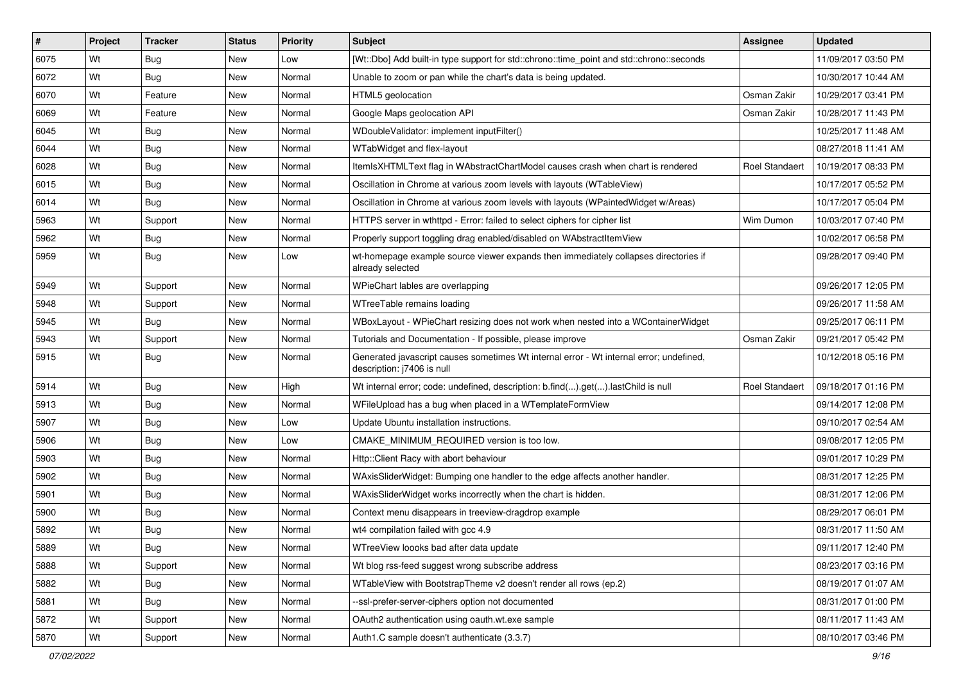| $\vert$ # | Project | <b>Tracker</b> | <b>Status</b> | <b>Priority</b> | <b>Subject</b>                                                                                                        | <b>Assignee</b>       | <b>Updated</b>      |
|-----------|---------|----------------|---------------|-----------------|-----------------------------------------------------------------------------------------------------------------------|-----------------------|---------------------|
| 6075      | Wt      | Bug            | New           | Low             | [Wt::Dbo] Add built-in type support for std::chrono::time point and std::chrono::seconds                              |                       | 11/09/2017 03:50 PM |
| 6072      | Wt      | Bug            | New           | Normal          | Unable to zoom or pan while the chart's data is being updated.                                                        |                       | 10/30/2017 10:44 AM |
| 6070      | Wt      | Feature        | New           | Normal          | HTML5 geolocation                                                                                                     | Osman Zakir           | 10/29/2017 03:41 PM |
| 6069      | Wt      | Feature        | New           | Normal          | Google Maps geolocation API                                                                                           | Osman Zakir           | 10/28/2017 11:43 PM |
| 6045      | Wt      | Bug            | New           | Normal          | WDoubleValidator: implement inputFilter()                                                                             |                       | 10/25/2017 11:48 AM |
| 6044      | Wt      | <b>Bug</b>     | New           | Normal          | WTabWidget and flex-layout                                                                                            |                       | 08/27/2018 11:41 AM |
| 6028      | Wt      | Bug            | New           | Normal          | ItemIsXHTMLText flag in WAbstractChartModel causes crash when chart is rendered                                       | <b>Roel Standaert</b> | 10/19/2017 08:33 PM |
| 6015      | Wt      | Bug            | New           | Normal          | Oscillation in Chrome at various zoom levels with layouts (WTableView)                                                |                       | 10/17/2017 05:52 PM |
| 6014      | Wt      | Bug            | New           | Normal          | Oscillation in Chrome at various zoom levels with layouts (WPaintedWidget w/Areas)                                    |                       | 10/17/2017 05:04 PM |
| 5963      | Wt      | Support        | New           | Normal          | HTTPS server in wthttpd - Error: failed to select ciphers for cipher list                                             | Wim Dumon             | 10/03/2017 07:40 PM |
| 5962      | Wt      | <b>Bug</b>     | New           | Normal          | Properly support toggling drag enabled/disabled on WAbstractItemView                                                  |                       | 10/02/2017 06:58 PM |
| 5959      | Wt      | Bug            | New           | Low             | wt-homepage example source viewer expands then immediately collapses directories if<br>already selected               |                       | 09/28/2017 09:40 PM |
| 5949      | Wt      | Support        | New           | Normal          | WPieChart lables are overlapping                                                                                      |                       | 09/26/2017 12:05 PM |
| 5948      | Wt      | Support        | New           | Normal          | WTreeTable remains loading                                                                                            |                       | 09/26/2017 11:58 AM |
| 5945      | Wt      | Bug            | New           | Normal          | WBoxLayout - WPieChart resizing does not work when nested into a WContainerWidget                                     |                       | 09/25/2017 06:11 PM |
| 5943      | Wt      | Support        | New           | Normal          | Tutorials and Documentation - If possible, please improve                                                             | Osman Zakir           | 09/21/2017 05:42 PM |
| 5915      | Wt      | <b>Bug</b>     | New           | Normal          | Generated javascript causes sometimes Wt internal error - Wt internal error; undefined,<br>description: j7406 is null |                       | 10/12/2018 05:16 PM |
| 5914      | Wt      | Bug            | New           | High            | Wt internal error; code: undefined, description: b.find().get().lastChild is null                                     | <b>Roel Standaert</b> | 09/18/2017 01:16 PM |
| 5913      | Wt      | Bug            | New           | Normal          | WFileUpload has a bug when placed in a WTemplateFormView                                                              |                       | 09/14/2017 12:08 PM |
| 5907      | Wt      | Bug            | New           | Low             | Update Ubuntu installation instructions.                                                                              |                       | 09/10/2017 02:54 AM |
| 5906      | Wt      | Bug            | New           | Low             | CMAKE MINIMUM REQUIRED version is too low.                                                                            |                       | 09/08/2017 12:05 PM |
| 5903      | Wt      | <b>Bug</b>     | New           | Normal          | Http::Client Racy with abort behaviour                                                                                |                       | 09/01/2017 10:29 PM |
| 5902      | Wt      | <b>Bug</b>     | New           | Normal          | WAxisSliderWidget: Bumping one handler to the edge affects another handler.                                           |                       | 08/31/2017 12:25 PM |
| 5901      | Wt      | Bug            | New           | Normal          | WAxisSliderWidget works incorrectly when the chart is hidden.                                                         |                       | 08/31/2017 12:06 PM |
| 5900      | Wt      | Bug            | New           | Normal          | Context menu disappears in treeview-dragdrop example                                                                  |                       | 08/29/2017 06:01 PM |
| 5892      | Wt      | <b>Bug</b>     | New           | Normal          | wt4 compilation failed with gcc 4.9                                                                                   |                       | 08/31/2017 11:50 AM |
| 5889      | Wt      | Bug            | New           | Normal          | WTreeView loooks bad after data update                                                                                |                       | 09/11/2017 12:40 PM |
| 5888      | Wt      | Support        | New           | Normal          | Wt blog rss-feed suggest wrong subscribe address                                                                      |                       | 08/23/2017 03:16 PM |
| 5882      | Wt      | <b>Bug</b>     | New           | Normal          | WTableView with BootstrapTheme v2 doesn't render all rows (ep.2)                                                      |                       | 08/19/2017 01:07 AM |
| 5881      | Wt      | Bug            | New           | Normal          | --ssl-prefer-server-ciphers option not documented                                                                     |                       | 08/31/2017 01:00 PM |
| 5872      | Wt      | Support        | New           | Normal          | OAuth2 authentication using oauth.wt.exe sample                                                                       |                       | 08/11/2017 11:43 AM |
| 5870      | Wt      | Support        | New           | Normal          | Auth1.C sample doesn't authenticate (3.3.7)                                                                           |                       | 08/10/2017 03:46 PM |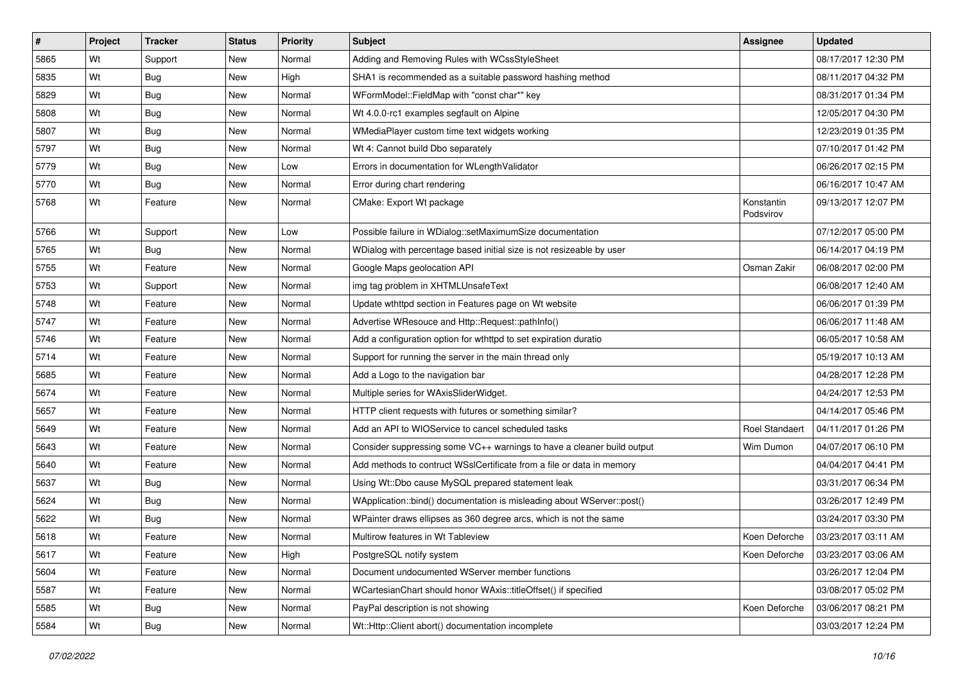| $\vert$ # | Project | <b>Tracker</b> | <b>Status</b> | <b>Priority</b> | <b>Subject</b>                                                         | <b>Assignee</b>         | <b>Updated</b>      |
|-----------|---------|----------------|---------------|-----------------|------------------------------------------------------------------------|-------------------------|---------------------|
| 5865      | Wt      | Support        | New           | Normal          | Adding and Removing Rules with WCssStyleSheet                          |                         | 08/17/2017 12:30 PM |
| 5835      | Wt      | Bug            | New           | High            | SHA1 is recommended as a suitable password hashing method              |                         | 08/11/2017 04:32 PM |
| 5829      | Wt      | Bug            | New           | Normal          | WFormModel::FieldMap with "const char*" key                            |                         | 08/31/2017 01:34 PM |
| 5808      | Wt      | Bug            | New           | Normal          | Wt 4.0.0-rc1 examples segfault on Alpine                               |                         | 12/05/2017 04:30 PM |
| 5807      | Wt      | Bug            | New           | Normal          | WMediaPlayer custom time text widgets working                          |                         | 12/23/2019 01:35 PM |
| 5797      | Wt      | <b>Bug</b>     | New           | Normal          | Wt 4: Cannot build Dbo separately                                      |                         | 07/10/2017 01:42 PM |
| 5779      | Wt      | Bug            | New           | Low             | Errors in documentation for WLengthValidator                           |                         | 06/26/2017 02:15 PM |
| 5770      | Wt      | Bug            | New           | Normal          | Error during chart rendering                                           |                         | 06/16/2017 10:47 AM |
| 5768      | Wt      | Feature        | New           | Normal          | CMake: Export Wt package                                               | Konstantin<br>Podsvirov | 09/13/2017 12:07 PM |
| 5766      | Wt      | Support        | New           | Low             | Possible failure in WDialog::setMaximumSize documentation              |                         | 07/12/2017 05:00 PM |
| 5765      | Wt      | Bug            | New           | Normal          | WDialog with percentage based initial size is not resizeable by user   |                         | 06/14/2017 04:19 PM |
| 5755      | Wt      | Feature        | New           | Normal          | Google Maps geolocation API                                            | Osman Zakir             | 06/08/2017 02:00 PM |
| 5753      | Wt      | Support        | New           | Normal          | img tag problem in XHTMLUnsafeText                                     |                         | 06/08/2017 12:40 AM |
| 5748      | Wt      | Feature        | New           | Normal          | Update wthttpd section in Features page on Wt website                  |                         | 06/06/2017 01:39 PM |
| 5747      | Wt      | Feature        | New           | Normal          | Advertise WResouce and Http::Request::pathInfo()                       |                         | 06/06/2017 11:48 AM |
| 5746      | Wt      | Feature        | New           | Normal          | Add a configuration option for wthttpd to set expiration duratio       |                         | 06/05/2017 10:58 AM |
| 5714      | Wt      | Feature        | New           | Normal          | Support for running the server in the main thread only                 |                         | 05/19/2017 10:13 AM |
| 5685      | Wt      | Feature        | New           | Normal          | Add a Logo to the navigation bar                                       |                         | 04/28/2017 12:28 PM |
| 5674      | Wt      | Feature        | New           | Normal          | Multiple series for WAxisSliderWidget.                                 |                         | 04/24/2017 12:53 PM |
| 5657      | Wt      | Feature        | New           | Normal          | HTTP client requests with futures or something similar?                |                         | 04/14/2017 05:46 PM |
| 5649      | Wt      | Feature        | New           | Normal          | Add an API to WIOService to cancel scheduled tasks                     | Roel Standaert          | 04/11/2017 01:26 PM |
| 5643      | Wt      | Feature        | New           | Normal          | Consider suppressing some VC++ warnings to have a cleaner build output | Wim Dumon               | 04/07/2017 06:10 PM |
| 5640      | Wt      | Feature        | New           | Normal          | Add methods to contruct WSsICertificate from a file or data in memory  |                         | 04/04/2017 04:41 PM |
| 5637      | Wt      | Bug            | New           | Normal          | Using Wt::Dbo cause MySQL prepared statement leak                      |                         | 03/31/2017 06:34 PM |
| 5624      | Wt      | Bug            | New           | Normal          | WApplication::bind() documentation is misleading about WServer::post() |                         | 03/26/2017 12:49 PM |
| 5622      | Wt      | Bug            | New           | Normal          | WPainter draws ellipses as 360 degree arcs, which is not the same      |                         | 03/24/2017 03:30 PM |
| 5618      | Wt      | Feature        | New           | Normal          | Multirow features in Wt Tableview                                      | Koen Deforche           | 03/23/2017 03:11 AM |
| 5617      | Wt      | Feature        | <b>New</b>    | High            | PostgreSQL notify system                                               | Koen Deforche           | 03/23/2017 03:06 AM |
| 5604      | Wt      | Feature        | New           | Normal          | Document undocumented WServer member functions                         |                         | 03/26/2017 12:04 PM |
| 5587      | Wt      | Feature        | New           | Normal          | WCartesianChart should honor WAxis::titleOffset() if specified         |                         | 03/08/2017 05:02 PM |
| 5585      | Wt      | <b>Bug</b>     | New           | Normal          | PayPal description is not showing                                      | Koen Deforche           | 03/06/2017 08:21 PM |
| 5584      | Wt      | <b>Bug</b>     | New           | Normal          | Wt::Http::Client abort() documentation incomplete                      |                         | 03/03/2017 12:24 PM |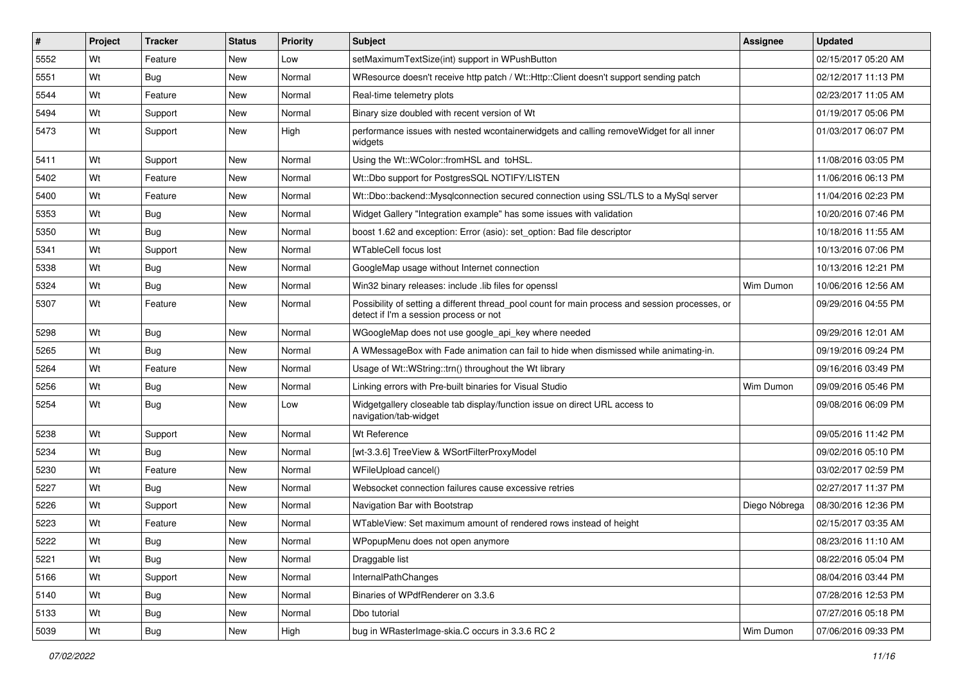| $\vert$ # | Project | <b>Tracker</b> | <b>Status</b> | <b>Priority</b> | <b>Subject</b>                                                                                                                            | <b>Assignee</b> | <b>Updated</b>      |
|-----------|---------|----------------|---------------|-----------------|-------------------------------------------------------------------------------------------------------------------------------------------|-----------------|---------------------|
| 5552      | Wt      | Feature        | New           | Low             | setMaximumTextSize(int) support in WPushButton                                                                                            |                 | 02/15/2017 05:20 AM |
| 5551      | Wt      | Bug            | New           | Normal          | WResource doesn't receive http patch / Wt::Http::Client doesn't support sending patch                                                     |                 | 02/12/2017 11:13 PM |
| 5544      | Wt      | Feature        | New           | Normal          | Real-time telemetry plots                                                                                                                 |                 | 02/23/2017 11:05 AM |
| 5494      | Wt      | Support        | New           | Normal          | Binary size doubled with recent version of Wt                                                                                             |                 | 01/19/2017 05:06 PM |
| 5473      | Wt      | Support        | New           | High            | performance issues with nested wcontainerwidgets and calling remove Widget for all inner<br>widgets                                       |                 | 01/03/2017 06:07 PM |
| 5411      | Wt      | Support        | New           | Normal          | Using the Wt::WColor::fromHSL and toHSL.                                                                                                  |                 | 11/08/2016 03:05 PM |
| 5402      | Wt      | Feature        | New           | Normal          | Wt::Dbo support for PostgresSQL NOTIFY/LISTEN                                                                                             |                 | 11/06/2016 06:13 PM |
| 5400      | Wt      | Feature        | New           | Normal          | Wt::Dbo::backend::Mysqlconnection secured connection using SSL/TLS to a MySql server                                                      |                 | 11/04/2016 02:23 PM |
| 5353      | Wt      | Bug            | New           | Normal          | Widget Gallery "Integration example" has some issues with validation                                                                      |                 | 10/20/2016 07:46 PM |
| 5350      | Wt      | Bug            | New           | Normal          | boost 1.62 and exception: Error (asio): set option: Bad file descriptor                                                                   |                 | 10/18/2016 11:55 AM |
| 5341      | Wt      | Support        | New           | Normal          | <b>WTableCell focus lost</b>                                                                                                              |                 | 10/13/2016 07:06 PM |
| 5338      | Wt      | Bug            | New           | Normal          | GoogleMap usage without Internet connection                                                                                               |                 | 10/13/2016 12:21 PM |
| 5324      | Wt      | Bug            | New           | Normal          | Win32 binary releases: include .lib files for openssl                                                                                     | Wim Dumon       | 10/06/2016 12:56 AM |
| 5307      | Wt      | Feature        | New           | Normal          | Possibility of setting a different thread_pool count for main process and session processes, or<br>detect if I'm a session process or not |                 | 09/29/2016 04:55 PM |
| 5298      | Wt      | Bug            | New           | Normal          | WGoogleMap does not use google_api_key where needed                                                                                       |                 | 09/29/2016 12:01 AM |
| 5265      | Wt      | Bug            | New           | Normal          | A WMessageBox with Fade animation can fail to hide when dismissed while animating-in.                                                     |                 | 09/19/2016 09:24 PM |
| 5264      | Wt      | Feature        | New           | Normal          | Usage of Wt::WString::trn() throughout the Wt library                                                                                     |                 | 09/16/2016 03:49 PM |
| 5256      | Wt      | Bug            | New           | Normal          | Linking errors with Pre-built binaries for Visual Studio                                                                                  | Wim Dumon       | 09/09/2016 05:46 PM |
| 5254      | Wt      | Bug            | New           | Low             | Widgetgallery closeable tab display/function issue on direct URL access to<br>navigation/tab-widget                                       |                 | 09/08/2016 06:09 PM |
| 5238      | Wt      | Support        | New           | Normal          | Wt Reference                                                                                                                              |                 | 09/05/2016 11:42 PM |
| 5234      | Wt      | Bug            | New           | Normal          | [wt-3.3.6] TreeView & WSortFilterProxyModel                                                                                               |                 | 09/02/2016 05:10 PM |
| 5230      | Wt      | Feature        | New           | Normal          | WFileUpload cancel()                                                                                                                      |                 | 03/02/2017 02:59 PM |
| 5227      | Wt      | Bug            | New           | Normal          | Websocket connection failures cause excessive retries                                                                                     |                 | 02/27/2017 11:37 PM |
| 5226      | Wt      | Support        | New           | Normal          | Navigation Bar with Bootstrap                                                                                                             | Diego Nóbrega   | 08/30/2016 12:36 PM |
| 5223      | Wt      | Feature        | New           | Normal          | WTableView: Set maximum amount of rendered rows instead of height                                                                         |                 | 02/15/2017 03:35 AM |
| 5222      | Wt      | Bug            | New           | Normal          | WPopupMenu does not open anymore                                                                                                          |                 | 08/23/2016 11:10 AM |
| 5221      | Wt      | Bug            | New           | Normal          | Draggable list                                                                                                                            |                 | 08/22/2016 05:04 PM |
| 5166      | Wt      | Support        | New           | Normal          | InternalPathChanges                                                                                                                       |                 | 08/04/2016 03:44 PM |
| 5140      | Wt      | Bug            | New           | Normal          | Binaries of WPdfRenderer on 3.3.6                                                                                                         |                 | 07/28/2016 12:53 PM |
| 5133      | Wt      | Bug            | New           | Normal          | Dbo tutorial                                                                                                                              |                 | 07/27/2016 05:18 PM |
| 5039      | Wt      | Bug            | New           | High            | bug in WRasterImage-skia.C occurs in 3.3.6 RC 2                                                                                           | Wim Dumon       | 07/06/2016 09:33 PM |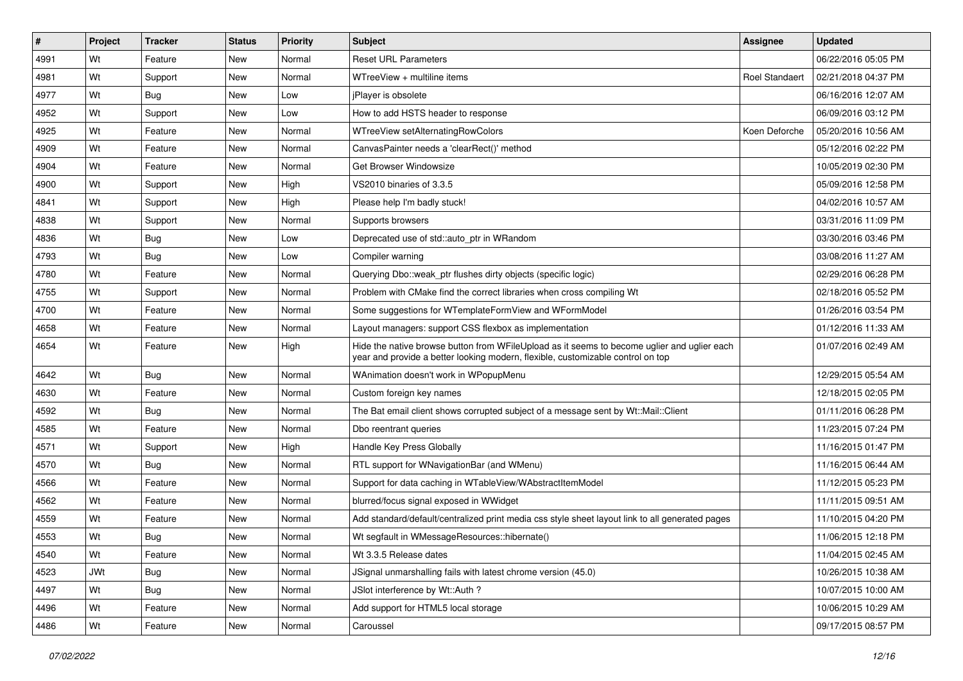| #    | Project    | <b>Tracker</b> | <b>Status</b> | <b>Priority</b> | <b>Subject</b>                                                                                                                                                                 | <b>Assignee</b>       | <b>Updated</b>      |
|------|------------|----------------|---------------|-----------------|--------------------------------------------------------------------------------------------------------------------------------------------------------------------------------|-----------------------|---------------------|
| 4991 | Wt         | Feature        | New           | Normal          | <b>Reset URL Parameters</b>                                                                                                                                                    |                       | 06/22/2016 05:05 PM |
| 4981 | Wt         | Support        | New           | Normal          | WTreeView + multiline items                                                                                                                                                    | <b>Roel Standaert</b> | 02/21/2018 04:37 PM |
| 4977 | Wt         | Bug            | New           | Low             | <i>iPlayer is obsolete</i>                                                                                                                                                     |                       | 06/16/2016 12:07 AM |
| 4952 | Wt         | Support        | New           | Low             | How to add HSTS header to response                                                                                                                                             |                       | 06/09/2016 03:12 PM |
| 4925 | Wt         | Feature        | New           | Normal          | WTreeView setAlternatingRowColors                                                                                                                                              | Koen Deforche         | 05/20/2016 10:56 AM |
| 4909 | Wt         | Feature        | New           | Normal          | CanvasPainter needs a 'clearRect()' method                                                                                                                                     |                       | 05/12/2016 02:22 PM |
| 4904 | Wt         | Feature        | New           | Normal          | Get Browser Windowsize                                                                                                                                                         |                       | 10/05/2019 02:30 PM |
| 4900 | Wt         | Support        | New           | High            | VS2010 binaries of 3.3.5                                                                                                                                                       |                       | 05/09/2016 12:58 PM |
| 4841 | Wt         | Support        | New           | High            | Please help I'm badly stuck!                                                                                                                                                   |                       | 04/02/2016 10:57 AM |
| 4838 | Wt         | Support        | New           | Normal          | Supports browsers                                                                                                                                                              |                       | 03/31/2016 11:09 PM |
| 4836 | Wt         | Bug            | New           | Low             | Deprecated use of std::auto ptr in WRandom                                                                                                                                     |                       | 03/30/2016 03:46 PM |
| 4793 | Wt         | Bug            | New           | Low             | Compiler warning                                                                                                                                                               |                       | 03/08/2016 11:27 AM |
| 4780 | Wt         | Feature        | New           | Normal          | Querying Dbo:: weak ptr flushes dirty objects (specific logic)                                                                                                                 |                       | 02/29/2016 06:28 PM |
| 4755 | Wt         | Support        | New           | Normal          | Problem with CMake find the correct libraries when cross compiling Wt                                                                                                          |                       | 02/18/2016 05:52 PM |
| 4700 | Wt         | Feature        | New           | Normal          | Some suggestions for WTemplateFormView and WFormModel                                                                                                                          |                       | 01/26/2016 03:54 PM |
| 4658 | Wt         | Feature        | New           | Normal          | Layout managers: support CSS flexbox as implementation                                                                                                                         |                       | 01/12/2016 11:33 AM |
| 4654 | Wt         | Feature        | New           | High            | Hide the native browse button from WFileUpload as it seems to become uglier and uglier each<br>year and provide a better looking modern, flexible, customizable control on top |                       | 01/07/2016 02:49 AM |
| 4642 | Wt         | Bug            | New           | Normal          | WAnimation doesn't work in WPopupMenu                                                                                                                                          |                       | 12/29/2015 05:54 AM |
| 4630 | Wt         | Feature        | New           | Normal          | Custom foreign key names                                                                                                                                                       |                       | 12/18/2015 02:05 PM |
| 4592 | Wt         | Bug            | New           | Normal          | The Bat email client shows corrupted subject of a message sent by Wt::Mail::Client                                                                                             |                       | 01/11/2016 06:28 PM |
| 4585 | Wt         | Feature        | New           | Normal          | Dbo reentrant queries                                                                                                                                                          |                       | 11/23/2015 07:24 PM |
| 4571 | Wt         | Support        | New           | High            | Handle Key Press Globally                                                                                                                                                      |                       | 11/16/2015 01:47 PM |
| 4570 | Wt         | Bug            | New           | Normal          | RTL support for WNavigationBar (and WMenu)                                                                                                                                     |                       | 11/16/2015 06:44 AM |
| 4566 | Wt         | Feature        | New           | Normal          | Support for data caching in WTableView/WAbstractItemModel                                                                                                                      |                       | 11/12/2015 05:23 PM |
| 4562 | Wt         | Feature        | New           | Normal          | blurred/focus signal exposed in WWidget                                                                                                                                        |                       | 11/11/2015 09:51 AM |
| 4559 | Wt         | Feature        | New           | Normal          | Add standard/default/centralized print media css style sheet layout link to all generated pages                                                                                |                       | 11/10/2015 04:20 PM |
| 4553 | Wt         | Bug            | New           | Normal          | Wt segfault in WMessageResources::hibernate()                                                                                                                                  |                       | 11/06/2015 12:18 PM |
| 4540 | Wt         | Feature        | New           | Normal          | Wt 3.3.5 Release dates                                                                                                                                                         |                       | 11/04/2015 02:45 AM |
| 4523 | <b>JWt</b> | <b>Bug</b>     | New           | Normal          | JSignal unmarshalling fails with latest chrome version (45.0)                                                                                                                  |                       | 10/26/2015 10:38 AM |
| 4497 | Wt         | Bug            | New           | Normal          | JSlot interference by Wt::Auth ?                                                                                                                                               |                       | 10/07/2015 10:00 AM |
| 4496 | Wt         | Feature        | New           | Normal          | Add support for HTML5 local storage                                                                                                                                            |                       | 10/06/2015 10:29 AM |
| 4486 | Wt         | Feature        | New           | Normal          | Caroussel                                                                                                                                                                      |                       | 09/17/2015 08:57 PM |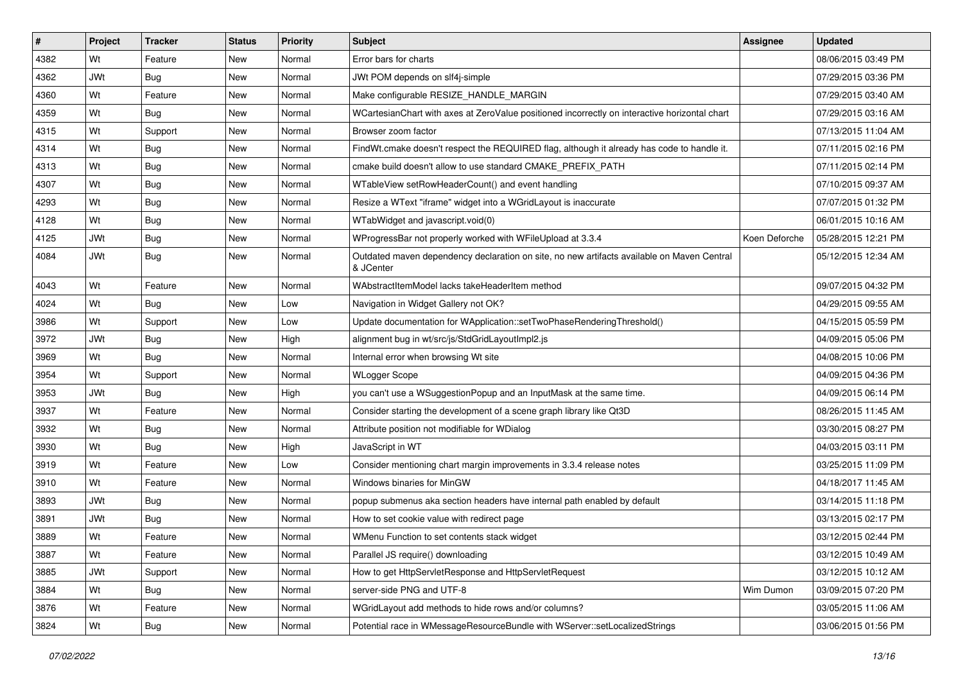| $\vert$ # | Project    | <b>Tracker</b> | <b>Status</b> | <b>Priority</b> | <b>Subject</b>                                                                                          | <b>Assignee</b> | <b>Updated</b>      |
|-----------|------------|----------------|---------------|-----------------|---------------------------------------------------------------------------------------------------------|-----------------|---------------------|
| 4382      | Wt         | Feature        | New           | Normal          | Error bars for charts                                                                                   |                 | 08/06/2015 03:49 PM |
| 4362      | <b>JWt</b> | Bug            | New           | Normal          | JWt POM depends on slf4j-simple                                                                         |                 | 07/29/2015 03:36 PM |
| 4360      | Wt         | Feature        | New           | Normal          | Make configurable RESIZE HANDLE MARGIN                                                                  |                 | 07/29/2015 03:40 AM |
| 4359      | Wt         | Bug            | New           | Normal          | WCartesianChart with axes at ZeroValue positioned incorrectly on interactive horizontal chart           |                 | 07/29/2015 03:16 AM |
| 4315      | Wt         | Support        | New           | Normal          | Browser zoom factor                                                                                     |                 | 07/13/2015 11:04 AM |
| 4314      | Wt         | <b>Bug</b>     | New           | Normal          | FindWt.cmake doesn't respect the REQUIRED flag, although it already has code to handle it.              |                 | 07/11/2015 02:16 PM |
| 4313      | Wt         | Bug            | New           | Normal          | cmake build doesn't allow to use standard CMAKE PREFIX PATH                                             |                 | 07/11/2015 02:14 PM |
| 4307      | Wt         | <b>Bug</b>     | New           | Normal          | WTableView setRowHeaderCount() and event handling                                                       |                 | 07/10/2015 09:37 AM |
| 4293      | Wt         | <b>Bug</b>     | New           | Normal          | Resize a WText "iframe" widget into a WGridLayout is inaccurate                                         |                 | 07/07/2015 01:32 PM |
| 4128      | Wt         | Bug            | New           | Normal          | WTabWidget and javascript.void(0)                                                                       |                 | 06/01/2015 10:16 AM |
| 4125      | <b>JWt</b> | <b>Bug</b>     | New           | Normal          | WProgressBar not properly worked with WFileUpload at 3.3.4                                              | Koen Deforche   | 05/28/2015 12:21 PM |
| 4084      | <b>JWt</b> | Bug            | New           | Normal          | Outdated maven dependency declaration on site, no new artifacts available on Maven Central<br>& JCenter |                 | 05/12/2015 12:34 AM |
| 4043      | Wt         | Feature        | New           | Normal          | WAbstractItemModel lacks takeHeaderItem method                                                          |                 | 09/07/2015 04:32 PM |
| 4024      | Wt         | Bug            | New           | Low             | Navigation in Widget Gallery not OK?                                                                    |                 | 04/29/2015 09:55 AM |
| 3986      | Wt         | Support        | New           | Low             | Update documentation for WApplication::setTwoPhaseRenderingThreshold()                                  |                 | 04/15/2015 05:59 PM |
| 3972      | <b>JWt</b> | Bug            | New           | High            | alignment bug in wt/src/js/StdGridLayoutImpl2.js                                                        |                 | 04/09/2015 05:06 PM |
| 3969      | Wt         | <b>Bug</b>     | New           | Normal          | Internal error when browsing Wt site                                                                    |                 | 04/08/2015 10:06 PM |
| 3954      | Wt         | Support        | New           | Normal          | <b>WLogger Scope</b>                                                                                    |                 | 04/09/2015 04:36 PM |
| 3953      | <b>JWt</b> | Bug            | New           | High            | you can't use a WSuggestionPopup and an InputMask at the same time.                                     |                 | 04/09/2015 06:14 PM |
| 3937      | Wt         | Feature        | New           | Normal          | Consider starting the development of a scene graph library like Qt3D                                    |                 | 08/26/2015 11:45 AM |
| 3932      | Wt         | Bug            | New           | Normal          | Attribute position not modifiable for WDialog                                                           |                 | 03/30/2015 08:27 PM |
| 3930      | Wt         | Bug            | New           | High            | JavaScript in WT                                                                                        |                 | 04/03/2015 03:11 PM |
| 3919      | Wt         | Feature        | New           | Low             | Consider mentioning chart margin improvements in 3.3.4 release notes                                    |                 | 03/25/2015 11:09 PM |
| 3910      | Wt         | Feature        | New           | Normal          | Windows binaries for MinGW                                                                              |                 | 04/18/2017 11:45 AM |
| 3893      | <b>JWt</b> | Bug            | New           | Normal          | popup submenus aka section headers have internal path enabled by default                                |                 | 03/14/2015 11:18 PM |
| 3891      | <b>JWt</b> | Bug            | New           | Normal          | How to set cookie value with redirect page                                                              |                 | 03/13/2015 02:17 PM |
| 3889      | Wt         | Feature        | New           | Normal          | WMenu Function to set contents stack widget                                                             |                 | 03/12/2015 02:44 PM |
| 3887      | Wt         | Feature        | New           | Normal          | Parallel JS require() downloading                                                                       |                 | 03/12/2015 10:49 AM |
| 3885      | JWt        | Support        | New           | Normal          | How to get HttpServletResponse and HttpServletRequest                                                   |                 | 03/12/2015 10:12 AM |
| 3884      | Wt         | Bug            | New           | Normal          | server-side PNG and UTF-8                                                                               | Wim Dumon       | 03/09/2015 07:20 PM |
| 3876      | Wt         | Feature        | New           | Normal          | WGridLayout add methods to hide rows and/or columns?                                                    |                 | 03/05/2015 11:06 AM |
| 3824      | Wt         | Bug            | New           | Normal          | Potential race in WMessageResourceBundle with WServer::setLocalizedStrings                              |                 | 03/06/2015 01:56 PM |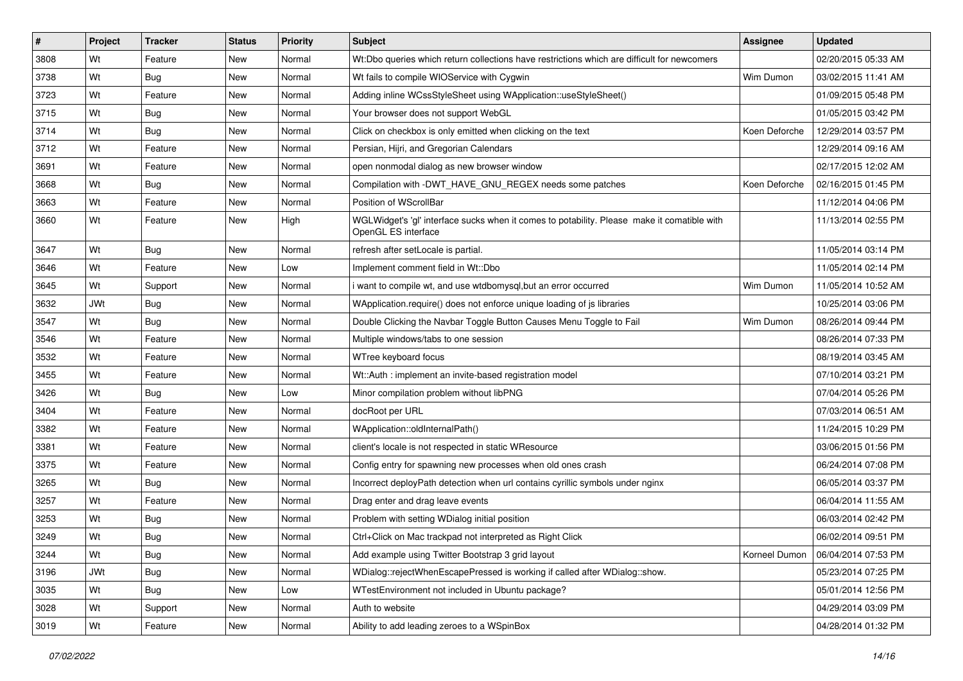| $\vert$ # | Project    | <b>Tracker</b> | <b>Status</b> | <b>Priority</b> | <b>Subject</b>                                                                                                     | <b>Assignee</b> | <b>Updated</b>      |
|-----------|------------|----------------|---------------|-----------------|--------------------------------------------------------------------------------------------------------------------|-----------------|---------------------|
| 3808      | Wt         | Feature        | New           | Normal          | Wt:Dbo queries which return collections have restrictions which are difficult for newcomers                        |                 | 02/20/2015 05:33 AM |
| 3738      | Wt         | Bug            | New           | Normal          | Wt fails to compile WIOService with Cygwin                                                                         | Wim Dumon       | 03/02/2015 11:41 AM |
| 3723      | Wt         | Feature        | New           | Normal          | Adding inline WCssStyleSheet using WApplication::useStyleSheet()                                                   |                 | 01/09/2015 05:48 PM |
| 3715      | Wt         | <b>Bug</b>     | New           | Normal          | Your browser does not support WebGL                                                                                |                 | 01/05/2015 03:42 PM |
| 3714      | Wt         | Bug            | New           | Normal          | Click on checkbox is only emitted when clicking on the text                                                        | Koen Deforche   | 12/29/2014 03:57 PM |
| 3712      | Wt         | Feature        | New           | Normal          | Persian, Hijri, and Gregorian Calendars                                                                            |                 | 12/29/2014 09:16 AM |
| 3691      | Wt         | Feature        | New           | Normal          | open nonmodal dialog as new browser window                                                                         |                 | 02/17/2015 12:02 AM |
| 3668      | Wt         | Bug            | New           | Normal          | Compilation with -DWT HAVE GNU REGEX needs some patches                                                            | Koen Deforche   | 02/16/2015 01:45 PM |
| 3663      | Wt         | Feature        | New           | Normal          | Position of WScrollBar                                                                                             |                 | 11/12/2014 04:06 PM |
| 3660      | Wt         | Feature        | New           | High            | WGLWidget's 'gl' interface sucks when it comes to potability. Please make it comatible with<br>OpenGL ES interface |                 | 11/13/2014 02:55 PM |
| 3647      | Wt         | Bug            | <b>New</b>    | Normal          | refresh after setLocale is partial.                                                                                |                 | 11/05/2014 03:14 PM |
| 3646      | Wt         | Feature        | New           | Low             | Implement comment field in Wt::Dbo                                                                                 |                 | 11/05/2014 02:14 PM |
| 3645      | Wt         | Support        | New           | Normal          | want to compile wt, and use wtdbomysql, but an error occurred                                                      | Wim Dumon       | 11/05/2014 10:52 AM |
| 3632      | <b>JWt</b> | Bug            | New           | Normal          | WApplication.require() does not enforce unique loading of js libraries                                             |                 | 10/25/2014 03:06 PM |
| 3547      | Wt         | Bug            | New           | Normal          | Double Clicking the Navbar Toggle Button Causes Menu Toggle to Fail                                                | Wim Dumon       | 08/26/2014 09:44 PM |
| 3546      | Wt         | Feature        | New           | Normal          | Multiple windows/tabs to one session                                                                               |                 | 08/26/2014 07:33 PM |
| 3532      | Wt         | Feature        | New           | Normal          | WTree keyboard focus                                                                                               |                 | 08/19/2014 03:45 AM |
| 3455      | Wt         | Feature        | New           | Normal          | Wt::Auth: implement an invite-based registration model                                                             |                 | 07/10/2014 03:21 PM |
| 3426      | Wt         | Bug            | New           | Low             | Minor compilation problem without libPNG                                                                           |                 | 07/04/2014 05:26 PM |
| 3404      | Wt         | Feature        | New           | Normal          | docRoot per URL                                                                                                    |                 | 07/03/2014 06:51 AM |
| 3382      | Wt         | Feature        | New           | Normal          | WApplication::oldInternalPath()                                                                                    |                 | 11/24/2015 10:29 PM |
| 3381      | Wt         | Feature        | New           | Normal          | client's locale is not respected in static WResource                                                               |                 | 03/06/2015 01:56 PM |
| 3375      | Wt         | Feature        | New           | Normal          | Config entry for spawning new processes when old ones crash                                                        |                 | 06/24/2014 07:08 PM |
| 3265      | Wt         | Bug            | New           | Normal          | Incorrect deployPath detection when url contains cyrillic symbols under nginx                                      |                 | 06/05/2014 03:37 PM |
| 3257      | Wt         | Feature        | New           | Normal          | Drag enter and drag leave events                                                                                   |                 | 06/04/2014 11:55 AM |
| 3253      | Wt         | <b>Bug</b>     | New           | Normal          | Problem with setting WDialog initial position                                                                      |                 | 06/03/2014 02:42 PM |
| 3249      | Wt         | Bug            | New           | Normal          | Ctrl+Click on Mac trackpad not interpreted as Right Click                                                          |                 | 06/02/2014 09:51 PM |
| 3244      | Wt         | <b>Bug</b>     | <b>New</b>    | Normal          | Add example using Twitter Bootstrap 3 grid layout                                                                  | Korneel Dumon   | 06/04/2014 07:53 PM |
| 3196      | <b>JWt</b> | <b>Bug</b>     | New           | Normal          | WDialog::rejectWhenEscapePressed is working if called after WDialog::show.                                         |                 | 05/23/2014 07:25 PM |
| 3035      | Wt         | <b>Bug</b>     | New           | Low             | WTestEnvironment not included in Ubuntu package?                                                                   |                 | 05/01/2014 12:56 PM |
| 3028      | Wt         | Support        | New           | Normal          | Auth to website                                                                                                    |                 | 04/29/2014 03:09 PM |
| 3019      | Wt         | Feature        | New           | Normal          | Ability to add leading zeroes to a WSpinBox                                                                        |                 | 04/28/2014 01:32 PM |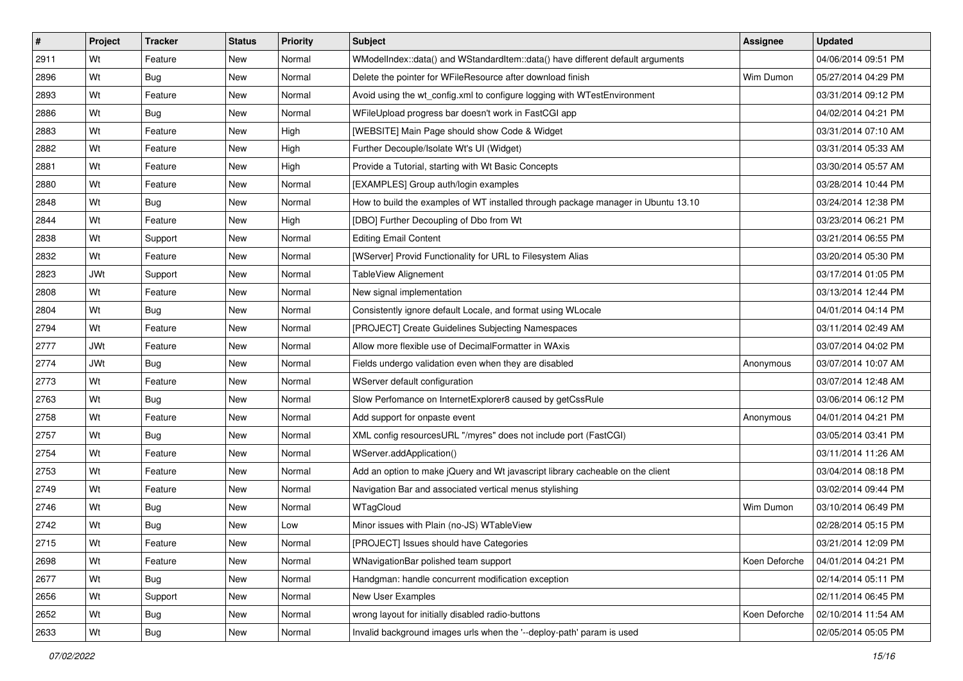| #    | Project    | <b>Tracker</b> | <b>Status</b> | <b>Priority</b> | <b>Subject</b>                                                                    | <b>Assignee</b> | <b>Updated</b>      |
|------|------------|----------------|---------------|-----------------|-----------------------------------------------------------------------------------|-----------------|---------------------|
| 2911 | Wt         | Feature        | New           | Normal          | WModelIndex::data() and WStandardItem::data() have different default arguments    |                 | 04/06/2014 09:51 PM |
| 2896 | Wt         | Bug            | New           | Normal          | Delete the pointer for WFileResource after download finish                        | Wim Dumon       | 05/27/2014 04:29 PM |
| 2893 | Wt         | Feature        | New           | Normal          | Avoid using the wt_config.xml to configure logging with WTestEnvironment          |                 | 03/31/2014 09:12 PM |
| 2886 | Wt         | Bug            | New           | Normal          | WFileUpload progress bar doesn't work in FastCGI app                              |                 | 04/02/2014 04:21 PM |
| 2883 | Wt         | Feature        | New           | High            | [WEBSITE] Main Page should show Code & Widget                                     |                 | 03/31/2014 07:10 AM |
| 2882 | Wt         | Feature        | New           | High            | Further Decouple/Isolate Wt's UI (Widget)                                         |                 | 03/31/2014 05:33 AM |
| 2881 | Wt         | Feature        | New           | High            | Provide a Tutorial, starting with Wt Basic Concepts                               |                 | 03/30/2014 05:57 AM |
| 2880 | Wt         | Feature        | New           | Normal          | [EXAMPLES] Group auth/login examples                                              |                 | 03/28/2014 10:44 PM |
| 2848 | Wt         | Bug            | New           | Normal          | How to build the examples of WT installed through package manager in Ubuntu 13.10 |                 | 03/24/2014 12:38 PM |
| 2844 | Wt         | Feature        | New           | High            | [DBO] Further Decoupling of Dbo from Wt                                           |                 | 03/23/2014 06:21 PM |
| 2838 | Wt         | Support        | New           | Normal          | <b>Editing Email Content</b>                                                      |                 | 03/21/2014 06:55 PM |
| 2832 | Wt         | Feature        | New           | Normal          | [WServer] Provid Functionality for URL to Filesystem Alias                        |                 | 03/20/2014 05:30 PM |
| 2823 | JWt        | Support        | New           | Normal          | TableView Alignement                                                              |                 | 03/17/2014 01:05 PM |
| 2808 | Wt         | Feature        | New           | Normal          | New signal implementation                                                         |                 | 03/13/2014 12:44 PM |
| 2804 | Wt         | Bug            | New           | Normal          | Consistently ignore default Locale, and format using WLocale                      |                 | 04/01/2014 04:14 PM |
| 2794 | Wt         | Feature        | New           | Normal          | [PROJECT] Create Guidelines Subjecting Namespaces                                 |                 | 03/11/2014 02:49 AM |
| 2777 | <b>JWt</b> | Feature        | New           | Normal          | Allow more flexible use of DecimalFormatter in WAxis                              |                 | 03/07/2014 04:02 PM |
| 2774 | <b>JWt</b> | Bug            | New           | Normal          | Fields undergo validation even when they are disabled                             | Anonymous       | 03/07/2014 10:07 AM |
| 2773 | Wt         | Feature        | New           | Normal          | WServer default configuration                                                     |                 | 03/07/2014 12:48 AM |
| 2763 | Wt         | Bug            | New           | Normal          | Slow Perfomance on InternetExplorer8 caused by getCssRule                         |                 | 03/06/2014 06:12 PM |
| 2758 | Wt         | Feature        | New           | Normal          | Add support for onpaste event                                                     | Anonymous       | 04/01/2014 04:21 PM |
| 2757 | Wt         | Bug            | New           | Normal          | XML config resourcesURL "/myres" does not include port (FastCGI)                  |                 | 03/05/2014 03:41 PM |
| 2754 | Wt         | Feature        | New           | Normal          | WServer.addApplication()                                                          |                 | 03/11/2014 11:26 AM |
| 2753 | Wt         | Feature        | New           | Normal          | Add an option to make jQuery and Wt javascript library cacheable on the client    |                 | 03/04/2014 08:18 PM |
| 2749 | Wt         | Feature        | New           | Normal          | Navigation Bar and associated vertical menus stylishing                           |                 | 03/02/2014 09:44 PM |
| 2746 | Wt         | Bug            | New           | Normal          | WTagCloud                                                                         | Wim Dumon       | 03/10/2014 06:49 PM |
| 2742 | Wt         | Bug            | New           | Low             | Minor issues with Plain (no-JS) WTableView                                        |                 | 02/28/2014 05:15 PM |
| 2715 | Wt         | Feature        | New           | Normal          | [PROJECT] Issues should have Categories                                           |                 | 03/21/2014 12:09 PM |
| 2698 | Wt         | Feature        | New           | Normal          | WNavigationBar polished team support                                              | Koen Deforche   | 04/01/2014 04:21 PM |
| 2677 | Wt         | <b>Bug</b>     | New           | Normal          | Handgman: handle concurrent modification exception                                |                 | 02/14/2014 05:11 PM |
| 2656 | Wt         | Support        | New           | Normal          | New User Examples                                                                 |                 | 02/11/2014 06:45 PM |
| 2652 | Wt         | <b>Bug</b>     | New           | Normal          | wrong layout for initially disabled radio-buttons                                 | Koen Deforche   | 02/10/2014 11:54 AM |
| 2633 | Wt         | Bug            | New           | Normal          | Invalid background images urls when the '--deploy-path' param is used             |                 | 02/05/2014 05:05 PM |